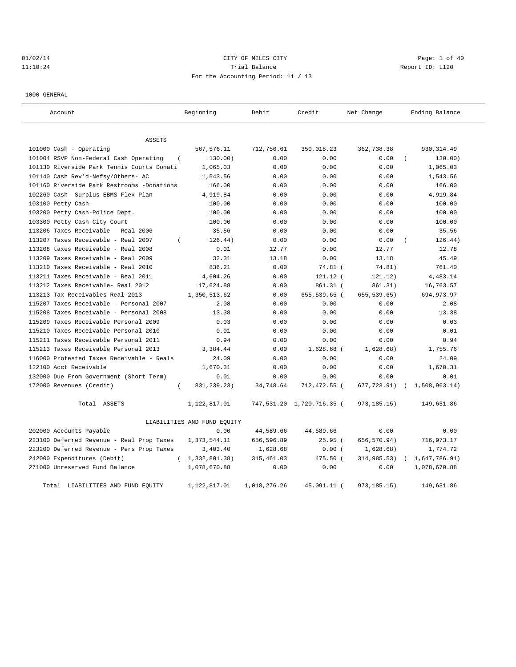# 01/02/14 Page: 1 of 40 11:10:24 Report ID: L120 For the Accounting Period: 11 / 13

1000 GENERAL

| Account                                         | Beginning                   | Debit        | Credit                    | Net Change    | Ending Balance |
|-------------------------------------------------|-----------------------------|--------------|---------------------------|---------------|----------------|
| <b>ASSETS</b>                                   |                             |              |                           |               |                |
| $101000$ Cash - Operating                       | 567,576.11                  | 712,756.61   | 350,018.23                | 362,738.38    | 930, 314.49    |
| 101004 RSVP Non-Federal Cash Operating          | 130.00)                     | 0.00         | 0.00                      | 0.00          | 130.00)        |
| 101130 Riverside Park Tennis Courts Donati      | 1,065.03                    | 0.00         | 0.00                      | 0.00          | 1,065.03       |
| 101140 Cash Rev'd-Nefsy/Others- AC              | 1,543.56                    | 0.00         | 0.00                      | 0.00          | 1,543.56       |
| 101160 Riverside Park Restrooms -Donations      | 166.00                      | 0.00         | 0.00                      | 0.00          | 166.00         |
| 102260 Cash- Surplus EBMS Flex Plan             | 4,919.84                    | 0.00         | 0.00                      | 0.00          | 4,919.84       |
| 103100 Petty Cash-                              | 100.00                      | 0.00         | 0.00                      | 0.00          | 100.00         |
| 103200 Petty Cash-Police Dept.                  | 100.00                      | 0.00         | 0.00                      | 0.00          | 100.00         |
| 103300 Petty Cash-City Court                    | 100.00                      | 0.00         | 0.00                      | 0.00          | 100.00         |
| 113206 Taxes Receivable - Real 2006             | 35.56                       | 0.00         | 0.00                      | 0.00          | 35.56          |
| 113207 Taxes Receivable - Real 2007<br>$\left($ | 126.44)                     | 0.00         | 0.00                      | 0.00          | 126.44)        |
| 113208 taxes Receivable - Real 2008             | 0.01                        | 12.77        | 0.00                      | 12.77         | 12.78          |
| 113209 Taxes Receivable - Real 2009             | 32.31                       | 13.18        | 0.00                      | 13.18         | 45.49          |
| 113210 Taxes Receivable - Real 2010             | 836.21                      | 0.00         | 74.81 (                   | 74.81)        | 761.40         |
| 113211 Taxes Receivable - Real 2011             | 4,604.26                    | 0.00         | $121.12$ (                | 121.12)       | 4,483.14       |
| 113212 Taxes Receivable- Real 2012              | 17,624.88                   | 0.00         | 861.31 (                  | 861.31)       | 16,763.57      |
| 113213 Tax Receivables Real-2013                | 1,350,513.62                | 0.00         | 655,539.65 (              | 655,539.65)   | 694,973.97     |
| 115207 Taxes Receivable - Personal 2007         | 2.08                        | 0.00         | 0.00                      | 0.00          | 2.08           |
| 115208 Taxes Receivable - Personal 2008         | 13.38                       | 0.00         | 0.00                      | 0.00          | 13.38          |
| 115209 Taxes Receivable Personal 2009           | 0.03                        | 0.00         | 0.00                      | 0.00          | 0.03           |
| 115210 Taxes Receivable Personal 2010           | 0.01                        | 0.00         | 0.00                      | 0.00          | 0.01           |
| 115211 Taxes Receivable Personal 2011           | 0.94                        | 0.00         | 0.00                      | 0.00          | 0.94           |
| 115213 Taxes Receivable Personal 2013           | 3,384.44                    | 0.00         | 1,628.68 (                | 1,628.68)     | 1,755.76       |
| 116000 Protested Taxes Receivable - Reals       | 24.09                       | 0.00         | 0.00                      | 0.00          | 24.09          |
| 122100 Acct Receivable                          | 1,670.31                    | 0.00         | 0.00                      | 0.00          | 1,670.31       |
| 132000 Due From Government (Short Term)         | 0.01                        | 0.00         | 0.00                      | 0.00          | 0.01           |
| 172000 Revenues (Credit)<br>$\left($            | 831, 239. 23)               | 34,748.64    | 712,472.55 (              | 677,723.91)   | 1,508,963.14)  |
| Total ASSETS                                    | 1,122,817.01                |              | 747,531.20 1,720,716.35 ( | 973,185.15)   | 149,631.86     |
|                                                 | LIABILITIES AND FUND EQUITY |              |                           |               |                |
| 202000 Accounts Payable                         | 0.00                        | 44,589.66    | 44,589.66                 | 0.00          | 0.00           |
| 223100 Deferred Revenue - Real Prop Taxes       | 1,373,544.11                | 656,596.89   | 25.95(                    | 656,570.94)   | 716,973.17     |
| 223200 Deferred Revenue - Pers Prop Taxes       | 3,403.40                    | 1,628.68     | 0.00(                     | 1,628.68)     | 1,774.72       |
| 242000 Expenditures (Debit)<br>$\left($         | 1,332,801.38)               | 315,461.03   | 475.50 (                  | 314,985.53)   | 1,647,786.91)  |
| 271000 Unreserved Fund Balance                  | 1,078,670.88                | 0.00         | 0.00                      | 0.00          | 1,078,670.88   |
| Total LIABILITIES AND FUND EQUITY               | 1,122,817.01                | 1,018,276.26 | 45,091.11 (               | 973, 185. 15) | 149,631.86     |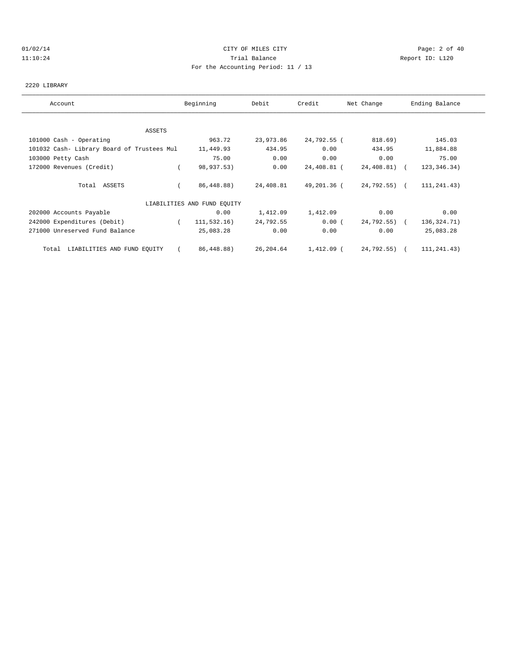# 01/02/14 Page: 2 of 40 11:10:24 Trial Balance Report ID: L120 For the Accounting Period: 11 / 13

#### 2220 LIBRARY

| Account                                    | Beginning                   | Debit     | Credit      | Net Change   | Ending Balance |
|--------------------------------------------|-----------------------------|-----------|-------------|--------------|----------------|
|                                            |                             |           |             |              |                |
| ASSETS                                     |                             |           |             |              |                |
| 101000 Cash - Operating                    | 963.72                      | 23,973.86 | 24,792.55 ( | 818.69)      | 145.03         |
| 101032 Cash- Library Board of Trustees Mul | 11,449.93                   | 434.95    | 0.00        | 434.95       | 11,884.88      |
| 103000 Petty Cash                          | 75.00                       | 0.00      | 0.00        | 0.00         | 75.00          |
| 172000 Revenues (Credit)                   | 98,937.53)                  | 0.00      | 24,408.81 ( | 24,408.81) ( | 123, 346. 34)  |
| Total ASSETS                               | 86,448.88)                  | 24,408.81 | 49,201.36 ( | 24,792.55) ( | 111, 241.43)   |
|                                            | LIABILITIES AND FUND EQUITY |           |             |              |                |
| 202000 Accounts Payable                    | 0.00                        | 1,412.09  | 1,412.09    | 0.00         | 0.00           |
| 242000 Expenditures (Debit)                | 111,532.16)<br>$\left($     | 24,792.55 | 0.00(       | 24,792.55) ( | 136, 324. 71)  |
| 271000 Unreserved Fund Balance             | 25,083.28                   | 0.00      | 0.00        | 0.00         | 25,083.28      |
| LIABILITIES AND FUND EQUITY<br>Total       | 86,448.88)                  | 26,204.64 | 1,412.09 (  | 24,792.55) ( | 111,241.43)    |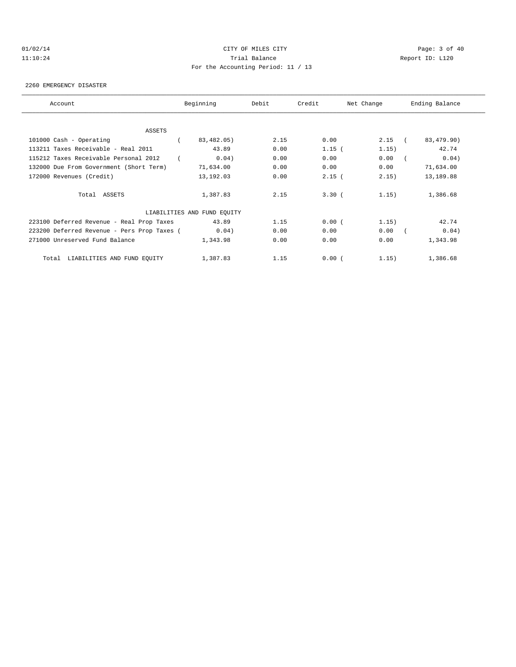# 01/02/14 Page: 3 of 40 11:10:24 Trial Balance Report ID: L120 For the Accounting Period: 11 / 13

#### 2260 EMERGENCY DISASTER

| Account                                     | Beginning                   | Debit | Credit   | Net Change | Ending Balance      |
|---------------------------------------------|-----------------------------|-------|----------|------------|---------------------|
|                                             |                             |       |          |            |                     |
| ASSETS<br>101000 Cash - Operating           | 83,482.05)                  | 2.15  | 0.00     | $2.15$ (   | 83,479.90)          |
| 113211 Taxes Receivable - Real 2011         | 43.89                       | 0.00  |          | 1.15)      | 42.74               |
|                                             |                             |       | $1.15$ ( |            |                     |
| 115212 Taxes Receivable Personal 2012       | 0.04)                       | 0.00  | 0.00     | 0.00       | 0.04)<br>$\sqrt{2}$ |
| 132000 Due From Government (Short Term)     | 71,634.00                   | 0.00  | 0.00     | 0.00       | 71,634.00           |
| 172000 Revenues (Credit)                    | 13,192.03                   | 0.00  | $2.15$ ( | 2, 15)     | 13,189.88           |
| Total ASSETS                                | 1,387.83                    | 2.15  | 3.30(    | 1.15)      | 1,386.68            |
|                                             | LIABILITIES AND FUND EQUITY |       |          |            |                     |
| 223100 Deferred Revenue - Real Prop Taxes   | 43.89                       | 1.15  | 0.00(    | 1.15)      | 42.74               |
| 223200 Deferred Revenue - Pers Prop Taxes ( | 0.04)                       | 0.00  | 0.00     | 0.00       | 0.04)<br>$\sqrt{2}$ |
| 271000 Unreserved Fund Balance              | 1,343.98                    | 0.00  | 0.00     | 0.00       | 1,343.98            |
| Total LIABILITIES AND FUND EQUITY           | 1,387.83                    | 1.15  | 0.00(    | 1.15)      | 1,386.68            |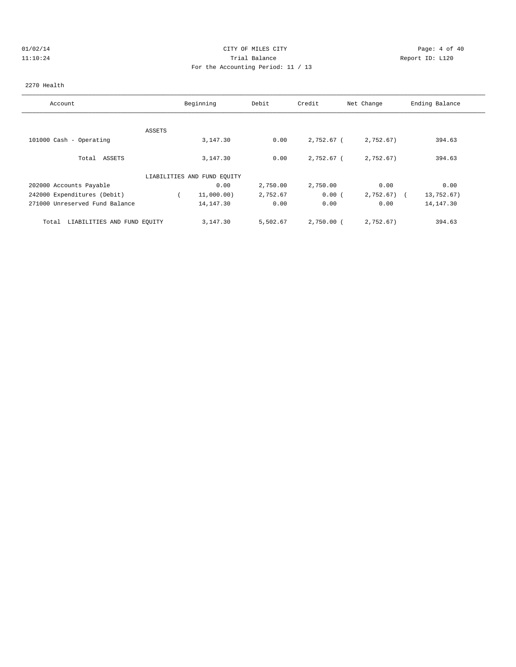# 01/02/14 Page: 4 of 40 11:10:24 Trial Balance Report ID: L120 For the Accounting Period: 11 / 13

#### 2270 Health

| Account                              |        | Beginning                   | Debit    | Credit       | Net Change   | Ending Balance |
|--------------------------------------|--------|-----------------------------|----------|--------------|--------------|----------------|
|                                      |        |                             |          |              |              |                |
|                                      | ASSETS |                             |          |              |              |                |
| 101000 Cash - Operating              |        | 3,147.30                    | 0.00     | 2,752.67 (   | 2,752.67)    | 394.63         |
| Total ASSETS                         |        | 3,147.30                    | 0.00     | 2,752.67 (   | 2,752.67)    | 394.63         |
|                                      |        | LIABILITIES AND FUND EOUITY |          |              |              |                |
| 202000 Accounts Payable              |        | 0.00                        | 2,750.00 | 2,750.00     | 0.00         | 0.00           |
| 242000 Expenditures (Debit)          |        | 11,000.00)                  | 2,752.67 | 0.00(        | $2,752.67$ ( | 13,752.67)     |
| 271000 Unreserved Fund Balance       |        | 14,147.30                   | 0.00     | 0.00         | 0.00         | 14, 147.30     |
| LIABILITIES AND FUND EQUITY<br>Total |        | 3,147.30                    | 5,502.67 | $2,750.00$ ( | 2,752.67)    | 394.63         |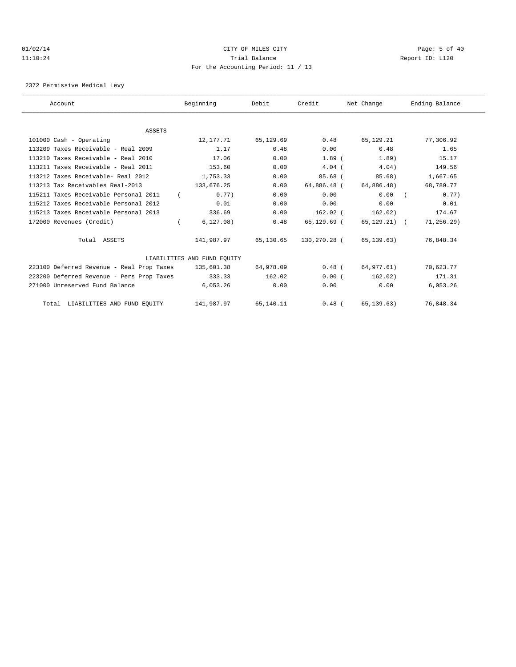#### 01/02/14 Page: 5 of 40 11:10:24 Trial Balance Report ID: L120 For the Accounting Period: 11 / 13

2372 Permissive Medical Levy

| Account                                   | Beginning                   | Debit     | Credit       | Net Change   | Ending Balance |
|-------------------------------------------|-----------------------------|-----------|--------------|--------------|----------------|
|                                           |                             |           |              |              |                |
| <b>ASSETS</b>                             |                             |           |              |              |                |
| 101000 Cash - Operating                   | 12,177.71                   | 65,129.69 | 0.48         | 65,129.21    | 77,306.92      |
| 113209 Taxes Receivable - Real 2009       | 1.17                        | 0.48      | 0.00         | 0.48         | 1.65           |
| 113210 Taxes Receivable - Real 2010       | 17.06                       | 0.00      | $1.89$ $($   | 1.89)        | 15.17          |
| 113211 Taxes Receivable - Real 2011       | 153.60                      | 0.00      | $4.04$ (     | 4.04)        | 149.56         |
| 113212 Taxes Receivable- Real 2012        | 1,753.33                    | 0.00      | $85.68$ (    | 85.68)       | 1,667.65       |
| 113213 Tax Receivables Real-2013          | 133,676.25                  | 0.00      | 64,886.48 (  | 64,886.48)   | 68,789.77      |
| 115211 Taxes Receivable Personal 2011     | 0.77)                       | 0.00      | 0.00         | 0.00         | 0.77)          |
| 115212 Taxes Receivable Personal 2012     | 0.01                        | 0.00      | 0.00         | 0.00         | 0.01           |
| 115213 Taxes Receivable Personal 2013     | 336.69                      | 0.00      | $162.02$ (   | 162.02)      | 174.67         |
| 172000 Revenues (Credit)                  | 6, 127.08)                  | 0.48      | 65,129.69 (  | 65,129.21) ( | 71, 256.29)    |
| Total ASSETS                              | 141,987.97                  | 65,130.65 | 130,270.28 ( | 65,139.63)   | 76,848.34      |
|                                           | LIABILITIES AND FUND EQUITY |           |              |              |                |
| 223100 Deferred Revenue - Real Prop Taxes | 135,601.38                  | 64,978.09 | $0.48$ (     | 64,977.61)   | 70,623.77      |
| 223200 Deferred Revenue - Pers Prop Taxes | 333.33                      | 162.02    | 0.00(        | 162.02)      | 171.31         |
| 271000 Unreserved Fund Balance            | 6,053.26                    | 0.00      | 0.00         | 0.00         | 6,053.26       |
| Total LIABILITIES AND FUND EQUITY         | 141,987.97                  | 65,140.11 | $0.48$ (     | 65, 139.63)  | 76,848.34      |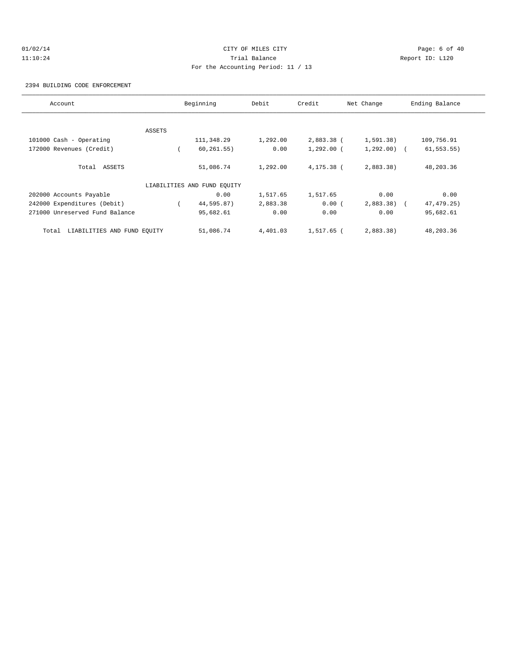# 01/02/14 Page: 6 of 40 11:10:24 Trial Balance Report ID: L120 For the Accounting Period: 11 / 13

2394 BUILDING CODE ENFORCEMENT

| Account                              |        | Beginning                   | Debit    | Credit       | Net Change   | Ending Balance |
|--------------------------------------|--------|-----------------------------|----------|--------------|--------------|----------------|
|                                      |        |                             |          |              |              |                |
|                                      | ASSETS |                             |          |              |              |                |
| 101000 Cash - Operating              |        | 111,348.29                  | 1,292.00 | 2,883.38 (   | 1, 591.38)   | 109,756.91     |
| 172000 Revenues (Credit)             |        | 60, 261.55)                 | 0.00     | $1,292.00$ ( | $1,292.00$ ( | 61, 553.55     |
| Total ASSETS                         |        | 51,086.74                   | 1,292.00 | 4,175.38 (   | 2,883.38     | 48,203.36      |
|                                      |        | LIABILITIES AND FUND EOUITY |          |              |              |                |
| 202000 Accounts Payable              |        | 0.00                        | 1,517.65 | 1,517.65     | 0.00         | 0.00           |
| 242000 Expenditures (Debit)          |        | 44,595.87)                  | 2,883.38 | 0.00(        | $2,883.38$ ( | 47, 479. 25)   |
| 271000 Unreserved Fund Balance       |        | 95,682.61                   | 0.00     | 0.00         | 0.00         | 95,682.61      |
| LIABILITIES AND FUND EQUITY<br>Total |        | 51,086.74                   | 4,401.03 | 1,517.65 (   | 2,883.38)    | 48,203.36      |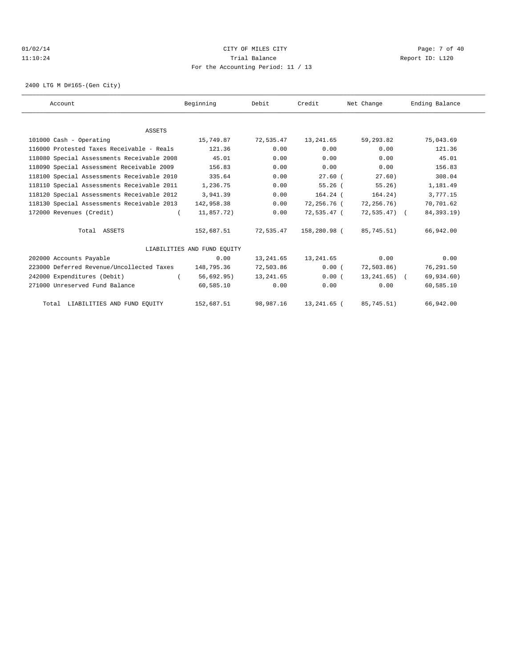# 01/02/14 Page: 7 of 40 11:10:24 Trial Balance Report ID: L120 For the Accounting Period: 11 / 13

2400 LTG M D#165-(Gen City)

| Account                                    | Beginning                   | Debit     | Credit       | Net Change      | Ending Balance |  |
|--------------------------------------------|-----------------------------|-----------|--------------|-----------------|----------------|--|
|                                            |                             |           |              |                 |                |  |
| <b>ASSETS</b>                              |                             |           |              |                 |                |  |
| 101000 Cash - Operating                    | 15,749.87                   | 72,535.47 | 13,241.65    | 59,293.82       | 75,043.69      |  |
| 116000 Protested Taxes Receivable - Reals  | 121.36                      | 0.00      | 0.00         | 0.00            | 121.36         |  |
| 118080 Special Assessments Receivable 2008 | 45.01                       | 0.00      | 0.00         | 0.00            | 45.01          |  |
| 118090 Special Assessment Receivable 2009  | 156.83                      | 0.00      | 0.00         | 0.00            | 156.83         |  |
| 118100 Special Assessments Receivable 2010 | 335.64                      | 0.00      | $27.60$ (    | 27.60)          | 308.04         |  |
| 118110 Special Assessments Receivable 2011 | 1,236.75                    | 0.00      | 55.26(       | 55.26)          | 1,181.49       |  |
| 118120 Special Assessments Receivable 2012 | 3,941.39                    | 0.00      | $164.24$ (   | 164.24)         | 3,777.15       |  |
| 118130 Special Assessments Receivable 2013 | 142,958.38                  | 0.00      | 72,256.76 (  | 72,256.76)      | 70,701.62      |  |
| 172000 Revenues (Credit)                   | 11,857.72)                  | 0.00      | 72,535.47 (  | 72,535.47) (    | 84, 393. 19)   |  |
| Total ASSETS                               | 152,687.51                  | 72,535.47 | 158,280.98 ( | 85,745.51)      | 66,942.00      |  |
|                                            | LIABILITIES AND FUND EOUITY |           |              |                 |                |  |
| 202000 Accounts Payable                    | 0.00                        | 13,241.65 | 13,241.65    | 0.00            | 0.00           |  |
| 223000 Deferred Revenue/Uncollected Taxes  | 148,795.36                  | 72,503.86 | 0.00(        | 72,503.86)      | 76,291.50      |  |
| 242000 Expenditures (Debit)                | 56,692.95)                  | 13,241.65 | 0.00(        | $13,241.65$ ) ( | 69,934.60)     |  |
| 271000 Unreserved Fund Balance             | 60,585.10                   | 0.00      | 0.00         | 0.00            | 60,585.10      |  |
| Total LIABILITIES AND FUND EQUITY          | 152,687.51                  | 98,987.16 | 13,241.65 (  | 85,745.51)      | 66,942.00      |  |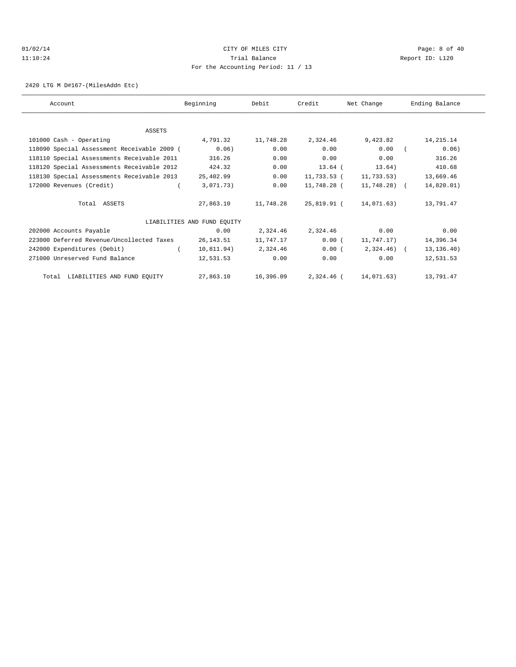# 01/02/14 Page: 8 of 40 11:10:24 Trial Balance Report ID: L120 For the Accounting Period: 11 / 13

2420 LTG M D#167-(MilesAddn Etc)

| Account                                     | Beginning                   | Debit     | Credit       | Net Change   | Ending Balance |
|---------------------------------------------|-----------------------------|-----------|--------------|--------------|----------------|
|                                             |                             |           |              |              |                |
| ASSETS                                      |                             |           |              |              |                |
| 101000 Cash - Operating                     | 4,791.32                    | 11,748.28 | 2,324.46     | 9,423.82     | 14, 215. 14    |
| 118090 Special Assessment Receivable 2009 ( | 0.06)                       | 0.00      | 0.00         | 0.00         | 0.06)          |
| 118110 Special Assessments Receivable 2011  | 316.26                      | 0.00      | 0.00         | 0.00         | 316.26         |
| 118120 Special Assessments Receivable 2012  | 424.32                      | 0.00      | $13.64$ (    | 13.64)       | 410.68         |
| 118130 Special Assessments Receivable 2013  | 25,402.99                   | 0.00      | 11,733.53 (  | 11,733.53)   | 13,669.46      |
| 172000 Revenues (Credit)                    | 3,071.73)                   | 0.00      | 11,748.28 (  | 11,748.28) ( | 14,820.01)     |
| Total ASSETS                                | 27,863.10                   | 11,748.28 | 25,819.91 (  | 14,071.63)   | 13,791.47      |
|                                             | LIABILITIES AND FUND EQUITY |           |              |              |                |
| 202000 Accounts Payable                     | 0.00                        | 2,324.46  | 2,324.46     | 0.00         | 0.00           |
| 223000 Deferred Revenue/Uncollected Taxes   | 26,143.51                   | 11,747.17 | 0.00(        | 11,747.17)   | 14,396.34      |
| 242000 Expenditures (Debit)                 | 10,811.94)                  | 2,324.46  | 0.00(        | $2,324.46$ ( | 13, 136.40)    |
| 271000 Unreserved Fund Balance              | 12,531.53                   | 0.00      | 0.00         | 0.00         | 12,531.53      |
| Total LIABILITIES AND FUND EQUITY           | 27,863.10                   | 16,396.09 | $2.324.46$ ( | 14,071.63)   | 13,791.47      |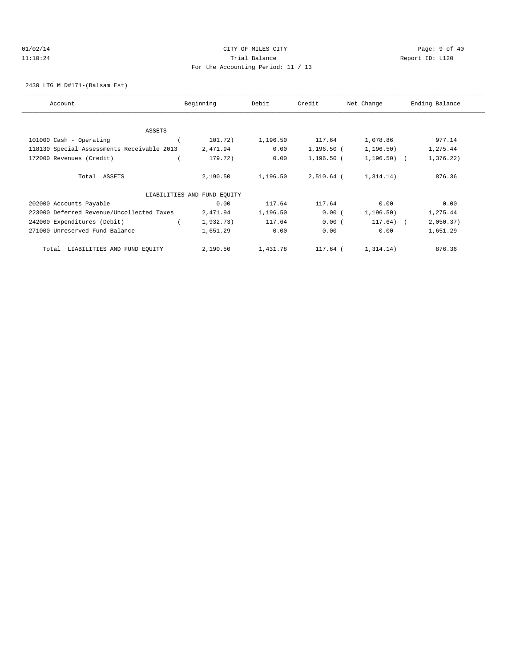# 01/02/14 Page: 9 of 40 11:10:24 Trial Balance Report ID: L120 For the Accounting Period: 11 / 13

2430 LTG M D#171-(Balsam Est)

| Account                                    | Beginning                   | Debit    | Credit       | Net Change   | Ending Balance |
|--------------------------------------------|-----------------------------|----------|--------------|--------------|----------------|
|                                            |                             |          |              |              |                |
| <b>ASSETS</b>                              |                             |          |              |              |                |
| 101000 Cash - Operating                    | 101.72)                     | 1,196.50 | 117.64       | 1,078.86     | 977.14         |
| 118130 Special Assessments Receivable 2013 | 2,471.94                    | 0.00     | $1,196.50$ ( | 1, 196.50)   | 1,275.44       |
| 172000 Revenues (Credit)                   | 179.72)                     | 0.00     | 1,196.50 (   | $1,196.50$ ( | 1,376.22)      |
| Total ASSETS                               | 2,190.50                    | 1,196.50 | 2,510.64 (   | 1,314.14)    | 876.36         |
|                                            | LIABILITIES AND FUND EQUITY |          |              |              |                |
| 202000 Accounts Payable                    | 0.00                        | 117.64   | 117.64       | 0.00         | 0.00           |
| 223000 Deferred Revenue/Uncollected Taxes  | 2,471.94                    | 1,196.50 | 0.00(        | 1, 196.50)   | 1,275.44       |
| 242000 Expenditures (Debit)                | 1,932.73)                   | 117.64   | 0.00(        | $117.64)$ (  | 2,050.37)      |
| 271000 Unreserved Fund Balance             | 1,651.29                    | 0.00     | 0.00         | 0.00         | 1,651.29       |
| LIABILITIES AND FUND EQUITY<br>Total       | 2,190.50                    | 1,431.78 | 117.64 (     | 1,314.14)    | 876.36         |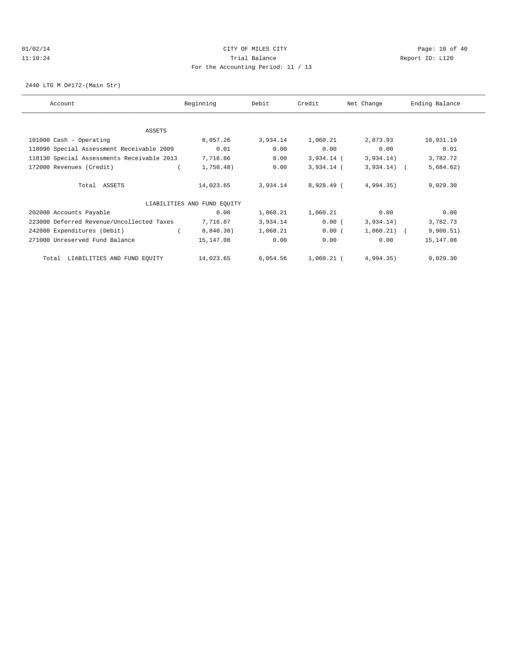# $O1/02/14$  Page: 10 of 40 11:10:24 Trial Balance Report ID: L120 For the Accounting Period: 11 / 13

2440 LTG M D#172-(Main Str)

| Account                                    | Beginning                   | Debit    | Credit       | Net Change    | Ending Balance |
|--------------------------------------------|-----------------------------|----------|--------------|---------------|----------------|
|                                            |                             |          |              |               |                |
| ASSETS                                     |                             |          |              |               |                |
| 101000 Cash - Operating                    | 8,057.26                    | 3,934.14 | 1,060.21     | 2,873.93      | 10,931.19      |
| 118090 Special Assessment Receivable 2009  | 0.01                        | 0.00     | 0.00         | 0.00          | 0.01           |
| 118130 Special Assessments Receivable 2013 | 7,716.86                    | 0.00     | $3,934.14$ ( | 3,934.14)     | 3,782.72       |
| 172000 Revenues (Credit)                   | 1,750.48)                   | 0.00     | $3,934.14$ ( | $3,934.14)$ ( | 5,684.62)      |
| Total ASSETS                               | 14,023.65                   | 3,934.14 | 8,928.49 (   | 4,994.35)     | 9,029.30       |
|                                            | LIABILITIES AND FUND EQUITY |          |              |               |                |
| 202000 Accounts Payable                    | 0.00                        | 1,060.21 | 1,060.21     | 0.00          | 0.00           |
| 223000 Deferred Revenue/Uncollected Taxes  | 7,716.87                    | 3,934.14 | 0.00(        | 3,934.14)     | 3,782.73       |
| 242000 Expenditures (Debit)                | 8,840.30)                   | 1,060.21 | 0.00(        | 1,060.21)     | 9,900.51)      |
| 271000 Unreserved Fund Balance             | 15,147.08                   | 0.00     | 0.00         | 0.00          | 15,147.08      |
| LIABILITIES AND FUND EQUITY<br>Total       | 14,023.65                   | 6,054.56 | $1,060.21$ ( | 4,994.35)     | 9,029.30       |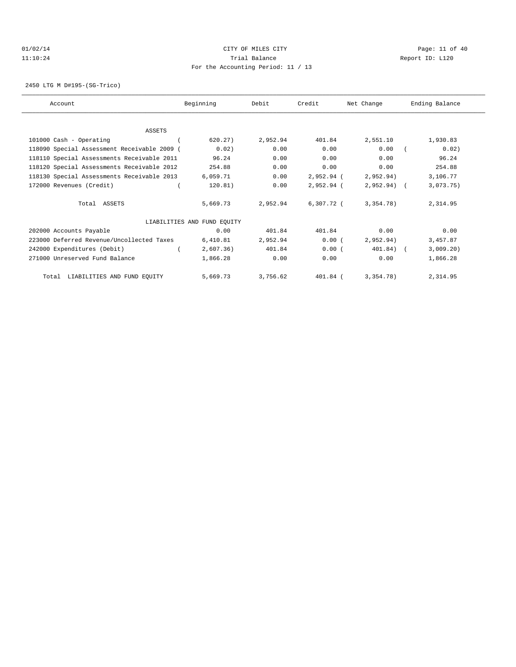# $O1/02/14$  Page: 11 of 40 11:10:24 Trial Balance Report ID: L120 For the Accounting Period: 11 / 13

2450 LTG M D#195-(SG-Trico)

| Account                                     | Beginning                   | Debit    | Credit     | Net Change   | Ending Balance |
|---------------------------------------------|-----------------------------|----------|------------|--------------|----------------|
|                                             |                             |          |            |              |                |
| ASSETS                                      |                             |          |            |              |                |
| 101000 Cash - Operating                     | 620.27)                     | 2,952.94 | 401.84     | 2,551.10     | 1,930.83       |
| 118090 Special Assessment Receivable 2009 ( | 0.02)                       | 0.00     | 0.00       | 0.00         | 0.02)          |
| 118110 Special Assessments Receivable 2011  | 96.24                       | 0.00     | 0.00       | 0.00         | 96.24          |
| 118120 Special Assessments Receivable 2012  | 254.88                      | 0.00     | 0.00       | 0.00         | 254.88         |
| 118130 Special Assessments Receivable 2013  | 6,059.71                    | 0.00     | 2,952.94 ( | 2,952.94)    | 3,106.77       |
| 172000 Revenues (Credit)                    | 120.81)                     | 0.00     | 2,952.94 ( | $2,952.94$ ( | 3,073.75)      |
| Total ASSETS                                | 5,669.73                    | 2,952.94 | 6,307.72 ( | 3,354.78)    | 2,314.95       |
|                                             | LIABILITIES AND FUND EQUITY |          |            |              |                |
| 202000 Accounts Payable                     | 0.00                        | 401.84   | 401.84     | 0.00         | 0.00           |
| 223000 Deferred Revenue/Uncollected Taxes   | 6,410.81                    | 2,952.94 | 0.00(      | 2,952.94)    | 3,457.87       |
| 242000 Expenditures (Debit)                 | 2,607.36)                   | 401.84   | 0.00(      | 401.84) (    | 3,009.20)      |
| 271000 Unreserved Fund Balance              | 1,866.28                    | 0.00     | 0.00       | 0.00         | 1,866.28       |
| Total LIABILITIES AND FUND EQUITY           | 5,669.73                    | 3,756.62 | 401.84 (   | 3.354.78     | 2,314.95       |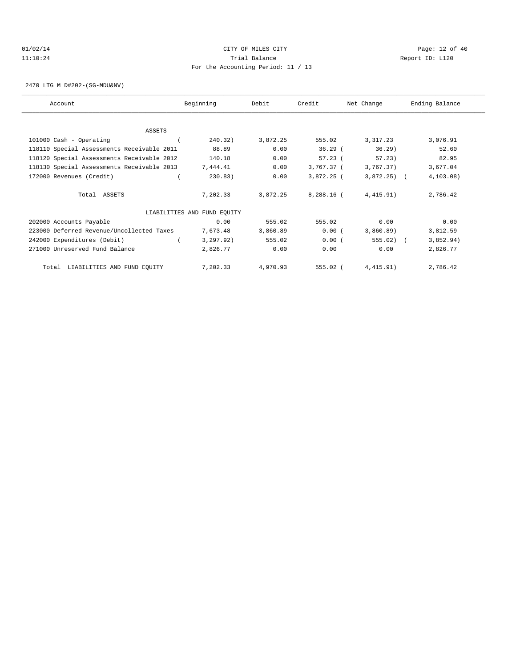# $O1/02/14$  Page: 12 of 40 11:10:24 Trial Balance Report ID: L120 For the Accounting Period: 11 / 13

2470 LTG M D#202-(SG-MDU&NV)

| Account                                    | Beginning                   | Debit    | Credit     | Net Change   | Ending Balance |
|--------------------------------------------|-----------------------------|----------|------------|--------------|----------------|
|                                            |                             |          |            |              |                |
| <b>ASSETS</b>                              |                             |          |            |              |                |
| 101000 Cash - Operating                    | 240.32)                     | 3,872.25 | 555.02     | 3, 317. 23   | 3,076.91       |
| 118110 Special Assessments Receivable 2011 | 88.89                       | 0.00     | $36.29$ (  | $36.29$ )    | 52.60          |
| 118120 Special Assessments Receivable 2012 | 140.18                      | 0.00     | $57.23$ (  | 57.23)       | 82.95          |
| 118130 Special Assessments Receivable 2013 | 7,444.41                    | 0.00     | 3,767.37 ( | 3,767.37)    | 3,677.04       |
| 172000 Revenues (Credit)                   | 230.83)                     | 0.00     | 3,872.25 ( | $3,872.25$ ( | 4, 103.08)     |
| Total ASSETS                               | 7,202.33                    | 3,872.25 | 8,288.16 ( | 4,415.91)    | 2,786.42       |
|                                            | LIABILITIES AND FUND EQUITY |          |            |              |                |
| 202000 Accounts Payable                    | 0.00                        | 555.02   | 555.02     | 0.00         | 0.00           |
| 223000 Deferred Revenue/Uncollected Taxes  | 7,673.48                    | 3,860.89 | 0.00(      | 3,860.89     | 3,812.59       |
| 242000 Expenditures (Debit)                | 3, 297.92)                  | 555.02   | 0.00(      | $555.02$ (   | 3,852.94)      |
| 271000 Unreserved Fund Balance             | 2,826.77                    | 0.00     | 0.00       | 0.00         | 2,826.77       |
| Total LIABILITIES AND FUND EQUITY          | 7,202.33                    | 4,970.93 | 555.02 (   | 4,415.91)    | 2,786.42       |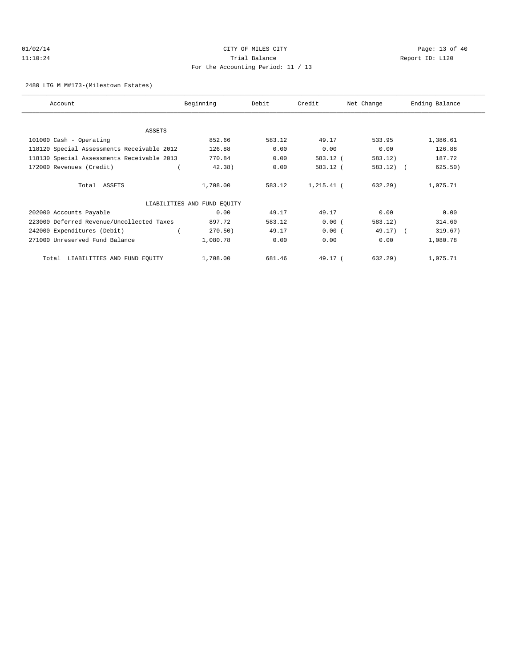# $O1/02/14$  Page: 13 of 40 11:10:24 Trial Balance Report ID: L120 For the Accounting Period: 11 / 13

2480 LTG M M#173-(Milestown Estates)

| Account                                    | Beginning                   | Debit  | Credit     | Net Change  | Ending Balance |
|--------------------------------------------|-----------------------------|--------|------------|-------------|----------------|
|                                            |                             |        |            |             |                |
| <b>ASSETS</b>                              |                             |        |            |             |                |
| 101000 Cash - Operating                    | 852.66                      | 583.12 | 49.17      | 533.95      | 1,386.61       |
| 118120 Special Assessments Receivable 2012 | 126.88                      | 0.00   | 0.00       | 0.00        | 126.88         |
| 118130 Special Assessments Receivable 2013 | 770.84                      | 0.00   | 583.12 (   | 583.12)     | 187.72         |
| 172000 Revenues (Credit)                   | 42.38)                      | 0.00   | 583.12 (   | $583.12)$ ( | 625.50)        |
| Total ASSETS                               | 1,708.00                    | 583.12 | 1,215.41 ( | $632.29$ )  | 1,075.71       |
|                                            | LIABILITIES AND FUND EQUITY |        |            |             |                |
| 202000 Accounts Payable                    | 0.00                        | 49.17  | 49.17      | 0.00        | 0.00           |
| 223000 Deferred Revenue/Uncollected Taxes  | 897.72                      | 583.12 | 0.00(      | 583.12)     | 314.60         |
| 242000 Expenditures (Debit)                | 270.50)                     | 49.17  | 0.00(      | $49.17$ ) ( | 319.67)        |
| 271000 Unreserved Fund Balance             | 1,080.78                    | 0.00   | 0.00       | 0.00        | 1,080.78       |
| LIABILITIES AND FUND EQUITY<br>Total       | 1,708.00                    | 681.46 | 49.17 (    | 632.29)     | 1,075.71       |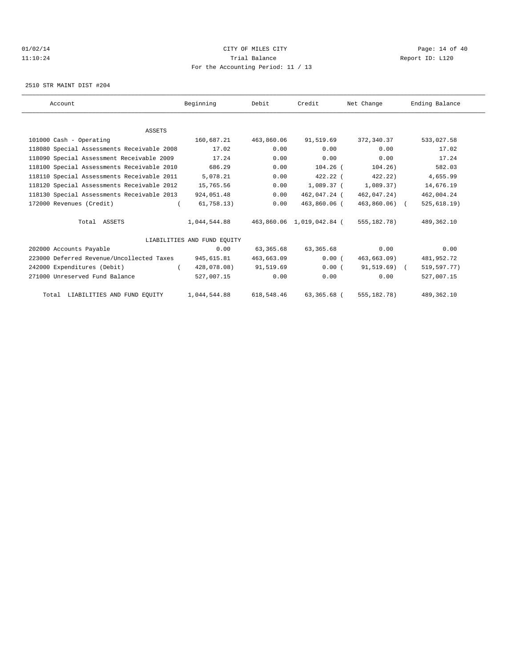# $O1/02/14$  Page: 14 of 40 11:10:24 Trial Balance Report ID: L120 For the Accounting Period: 11 / 13

2510 STR MAINT DIST #204

| Account                                    | Beginning                   | Debit      | Credit                    | Net Change    | Ending Balance |  |
|--------------------------------------------|-----------------------------|------------|---------------------------|---------------|----------------|--|
|                                            |                             |            |                           |               |                |  |
| <b>ASSETS</b>                              |                             |            |                           |               |                |  |
| 101000 Cash - Operating                    | 160,687.21                  | 463,860.06 | 91,519.69                 | 372,340.37    | 533,027.58     |  |
| 118080 Special Assessments Receivable 2008 | 17.02                       | 0.00       | 0.00                      | 0.00          | 17.02          |  |
| 118090 Special Assessment Receivable 2009  | 17.24                       | 0.00       | 0.00                      | 0.00          | 17.24          |  |
| 118100 Special Assessments Receivable 2010 | 686.29                      | 0.00       | $104.26$ (                | 104.26)       | 582.03         |  |
| 118110 Special Assessments Receivable 2011 | 5,078.21                    | 0.00       | $422.22$ (                | 422.22        | 4,655.99       |  |
| 118120 Special Assessments Receivable 2012 | 15,765.56                   | 0.00       | 1,089.37 (                | 1.089.37      | 14,676.19      |  |
| 118130 Special Assessments Receivable 2013 | 924,051.48                  | 0.00       | 462,047.24 (              | 462,047.24)   | 462,004.24     |  |
| 172000 Revenues (Credit)                   | 61,758.13)                  | 0.00       | 463,860.06 (              | 463,860.06) ( | 525, 618.19)   |  |
| Total ASSETS                               | 1,044,544.88                |            | 463,860.06 1,019,042.84 ( | 555,182.78)   | 489,362.10     |  |
|                                            | LIABILITIES AND FUND EOUITY |            |                           |               |                |  |
| 202000 Accounts Payable                    | 0.00                        | 63,365.68  | 63,365.68                 | 0.00          | 0.00           |  |
| 223000 Deferred Revenue/Uncollected Taxes  | 945,615.81                  | 463,663.09 | 0.00(                     | 463,663.09)   | 481,952.72     |  |
| 242000 Expenditures (Debit)                | 428,078.08)                 | 91,519.69  | 0.00(                     | $91,519.69$ ( | 519,597.77)    |  |
| 271000 Unreserved Fund Balance             | 527,007.15                  | 0.00       | 0.00                      | 0.00          | 527,007.15     |  |
| Total LIABILITIES AND FUND EQUITY          | 1,044,544.88                | 618,548.46 | 63,365.68 (               | 555,182.78)   | 489,362.10     |  |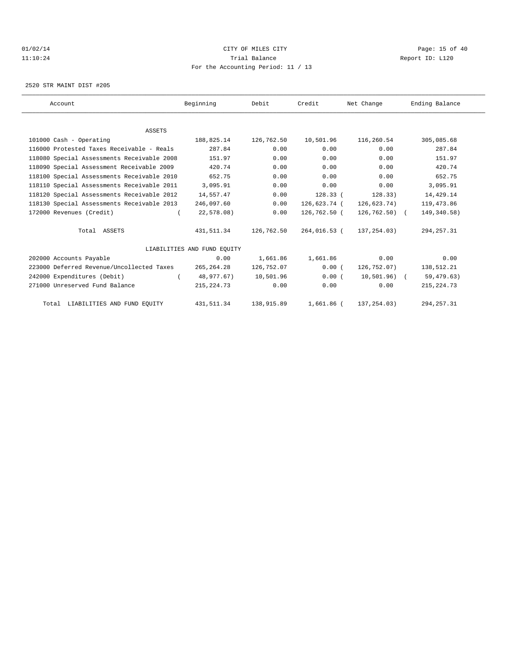# $O1/02/14$  Page: 15 of 40 11:10:24 Trial Balance Report ID: L120 For the Accounting Period: 11 / 13

2520 STR MAINT DIST #205

| Account                                    | Beginning                   | Debit      | Credit       | Net Change     | Ending Balance |  |
|--------------------------------------------|-----------------------------|------------|--------------|----------------|----------------|--|
|                                            |                             |            |              |                |                |  |
| <b>ASSETS</b>                              |                             |            |              |                |                |  |
| 101000 Cash - Operating                    | 188,825.14                  | 126,762.50 | 10,501.96    | 116,260.54     | 305,085.68     |  |
| 116000 Protested Taxes Receivable - Reals  | 287.84                      | 0.00       | 0.00         | 0.00           | 287.84         |  |
| 118080 Special Assessments Receivable 2008 | 151.97                      | 0.00       | 0.00         | 0.00           | 151.97         |  |
| 118090 Special Assessment Receivable 2009  | 420.74                      | 0.00       | 0.00         | 0.00           | 420.74         |  |
| 118100 Special Assessments Receivable 2010 | 652.75                      | 0.00       | 0.00         | 0.00           | 652.75         |  |
| 118110 Special Assessments Receivable 2011 | 3,095.91                    | 0.00       | 0.00         | 0.00           | 3,095.91       |  |
| 118120 Special Assessments Receivable 2012 | 14,557.47                   | 0.00       | 128.33(      | 128.33)        | 14,429.14      |  |
| 118130 Special Assessments Receivable 2013 | 246,097.60                  | 0.00       | 126,623.74 ( | 126,623.74)    | 119,473.86     |  |
| 172000 Revenues (Credit)                   | 22,578.08)                  | 0.00       | 126,762.50 ( | $126,762.50$ ( | 149, 340.58)   |  |
| Total ASSETS                               | 431,511.34                  | 126,762.50 | 264,016.53 ( | 137,254.03)    | 294, 257.31    |  |
|                                            | LIABILITIES AND FUND EOUITY |            |              |                |                |  |
| 202000 Accounts Payable                    | 0.00                        | 1,661.86   | 1,661.86     | 0.00           | 0.00           |  |
| 223000 Deferred Revenue/Uncollected Taxes  | 265, 264. 28                | 126,752.07 | 0.00(        | 126,752.07)    | 138,512.21     |  |
| 242000 Expenditures (Debit)                | 48,977.67)                  | 10,501.96  | 0.00(        | 10,501.96) (   | 59,479.63)     |  |
| 271000 Unreserved Fund Balance             | 215, 224. 73                | 0.00       | 0.00         | 0.00           | 215, 224.73    |  |
| Total LIABILITIES AND FUND EQUITY          | 431,511.34                  | 138,915.89 | $1,661.86$ ( | 137, 254.03)   | 294, 257.31    |  |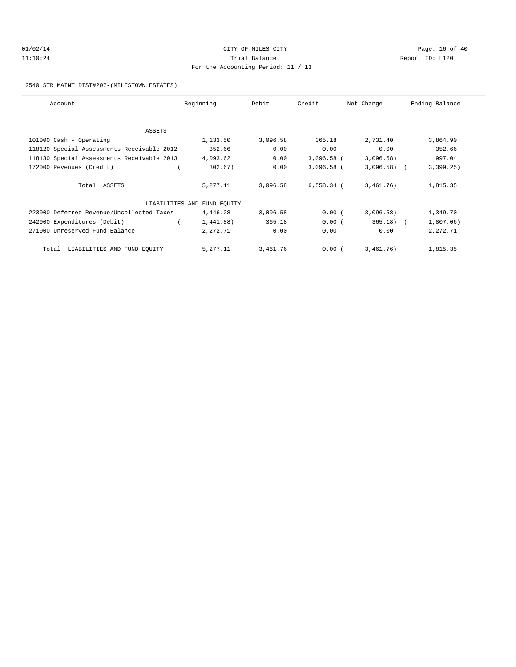# $O1/02/14$  Page: 16 of 40 11:10:24 Trial Balance Report ID: L120 For the Accounting Period: 11 / 13

#### 2540 STR MAINT DIST#207-(MILESTOWN ESTATES)

| Account                                    | Beginning                   | Debit    | Credit       | Net Change   | Ending Balance |
|--------------------------------------------|-----------------------------|----------|--------------|--------------|----------------|
|                                            |                             |          |              |              |                |
| ASSETS                                     |                             |          |              |              |                |
| 101000 Cash - Operating                    | 1,133.50                    | 3,096.58 | 365.18       | 2,731.40     | 3,864.90       |
| 118120 Special Assessments Receivable 2012 | 352.66                      | 0.00     | 0.00         | 0.00         | 352.66         |
| 118130 Special Assessments Receivable 2013 | 4,093.62                    | 0.00     | $3,096.58$ ( | 3,096.58)    | 997.04         |
| 172000 Revenues (Credit)                   | 302.67)                     | 0.00     | $3,096.58$ ( | $3,096.58$ ( | 3,399.25)      |
| Total ASSETS                               | 5,277.11                    | 3,096.58 | $6,558.34$ ( | 3,461,76)    | 1,815.35       |
|                                            | LIABILITIES AND FUND EQUITY |          |              |              |                |
| 223000 Deferred Revenue/Uncollected Taxes  | 4,446.28                    | 3,096.58 | 0.00(        | 3,096.58)    | 1,349.70       |
| 242000 Expenditures (Debit)                | 1,441.88)                   | 365.18   | 0.00(        | $365.18$ (   | 1,807.06)      |
| 271000 Unreserved Fund Balance             | 2,272.71                    | 0.00     | 0.00         | 0.00         | 2,272.71       |
| LIABILITIES AND FUND EQUITY<br>Total       | 5,277.11                    | 3,461.76 | 0.00(        | 3,461.76)    | 1,815.35       |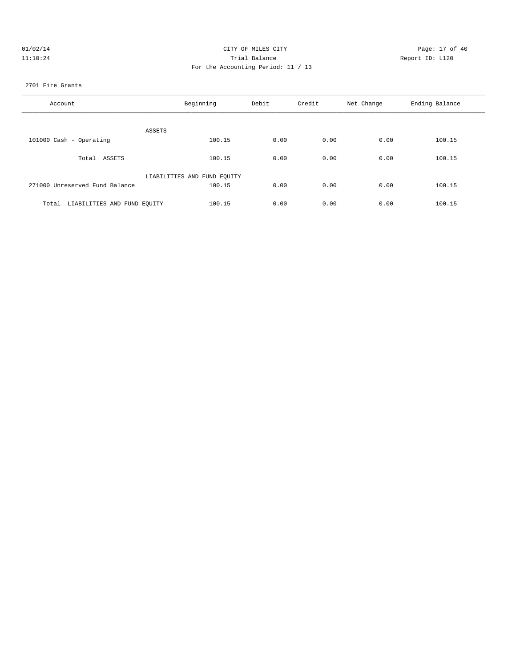| 01/02/14 | CITY OF MILES CITY                 |
|----------|------------------------------------|
| 11:10:24 | Trial Balance                      |
|          | For the Accounting Period: 11 / 13 |

Page: 17 of 40 Report ID: L120

# 2701 Fire Grants

| Account                              | Beginning                   | Debit<br>Credit |      | Net Change | Ending Balance |
|--------------------------------------|-----------------------------|-----------------|------|------------|----------------|
| ASSETS                               |                             |                 |      |            |                |
| 101000 Cash - Operating              | 100.15                      | 0.00            | 0.00 | 0.00       | 100.15         |
| Total ASSETS                         | 100.15                      | 0.00            | 0.00 | 0.00       | 100.15         |
|                                      | LIABILITIES AND FUND EQUITY |                 |      |            |                |
| 271000 Unreserved Fund Balance       | 100.15                      | 0.00            | 0.00 | 0.00       | 100.15         |
| LIABILITIES AND FUND EQUITY<br>Total | 100.15                      | 0.00            | 0.00 | 0.00       | 100.15         |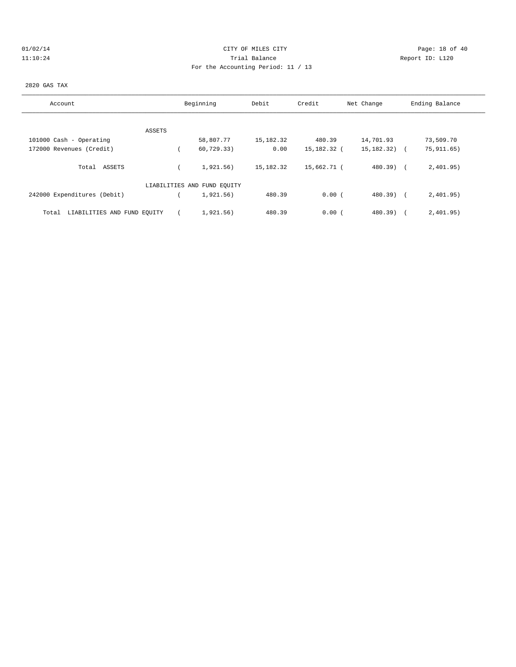# $O1/02/14$  Page: 18 of 40 11:10:24 Trial Balance Report ID: L120 For the Accounting Period: 11 / 13

#### 2820 GAS TAX

| Account                              |        | Beginning                   | Debit     | Credit      | Net Change   | Ending Balance |
|--------------------------------------|--------|-----------------------------|-----------|-------------|--------------|----------------|
|                                      |        |                             |           |             |              |                |
|                                      | ASSETS |                             |           |             |              |                |
| 101000 Cash - Operating              |        | 58,807.77                   | 15,182.32 | 480.39      | 14,701.93    | 73,509.70      |
| 172000 Revenues (Credit)             |        | 60,729.33)                  | 0.00      | 15,182.32 ( | 15,182.32) ( | 75, 911, 65)   |
| Total ASSETS                         |        | 1,921.56)                   | 15,182.32 | 15,662.71 ( | $480.39$ (   | 2,401.95)      |
|                                      |        | LIABILITIES AND FUND EQUITY |           |             |              |                |
| 242000 Expenditures (Debit)          |        | 1,921.56)                   | 480.39    | 0.00(       | $480.39$ (   | 2,401.95)      |
| LIABILITIES AND FUND EQUITY<br>Total |        | 1,921.56)                   | 480.39    | 0.00(       | $480.39$ )   | 2,401.95)      |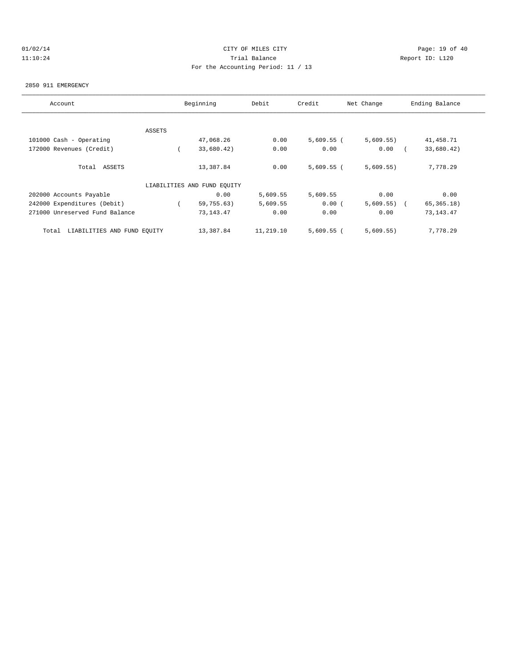# $O1/02/14$  Page: 19 of 40 11:10:24 Trial Balance Report ID: L120 For the Accounting Period: 11 / 13

#### 2850 911 EMERGENCY

| Account                              | Beginning |                             | Debit     | Credit       | Net Change | Ending Balance |
|--------------------------------------|-----------|-----------------------------|-----------|--------------|------------|----------------|
|                                      |           |                             |           |              |            |                |
|                                      | ASSETS    |                             |           |              |            |                |
| 101000 Cash - Operating              |           | 47,068.26                   | 0.00      | $5,609.55$ ( | 5,609.55)  | 41,458.71      |
| 172000 Revenues (Credit)             |           | 33,680.42)                  | 0.00      | 0.00         | 0.00       | 33,680.42)     |
| Total ASSETS                         |           | 13,387.84                   | 0.00      | $5,609.55$ ( | 5,609.55)  | 7,778.29       |
|                                      |           | LIABILITIES AND FUND EQUITY |           |              |            |                |
| 202000 Accounts Payable              |           | 0.00                        | 5,609.55  | 5,609.55     | 0.00       | 0.00           |
| 242000 Expenditures (Debit)          |           | 59,755.63)                  | 5,609.55  | 0.00(        | 5,609.55)  | 65, 365.18)    |
| 271000 Unreserved Fund Balance       |           | 73, 143. 47                 | 0.00      | 0.00         | 0.00       | 73, 143. 47    |
| LIABILITIES AND FUND EQUITY<br>Total |           | 13,387.84                   | 11,219.10 | $5,609.55$ ( | 5,609.55)  | 7,778.29       |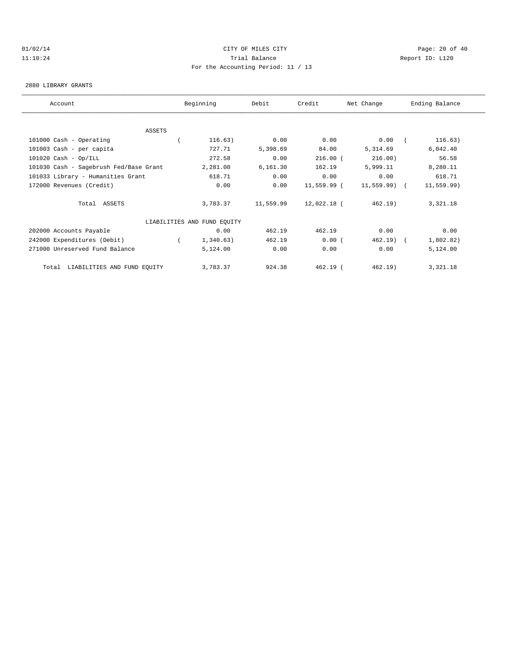# $O1/02/14$  Page: 20 of 40 11:10:24 Trial Balance Report ID: L120 For the Accounting Period: 11 / 13

#### 2880 LIBRARY GRANTS

| Account                                | Beginning                   | Debit     | Credit        | Net Change     | Ending Balance |  |
|----------------------------------------|-----------------------------|-----------|---------------|----------------|----------------|--|
|                                        |                             |           |               |                |                |  |
| <b>ASSETS</b>                          |                             |           |               |                |                |  |
| 101000 Cash - Operating                | 116.63)                     | 0.00      | 0.00          | 0.00           | 116.63)        |  |
| 101003 Cash - per capita               | 727.71                      | 5,398.69  | 84.00         | 5,314.69       | 6,042.40       |  |
| $101020$ Cash - Op/ILL                 | 272.58                      | 0.00      | $216.00$ (    | 216.00)        | 56.58          |  |
| 101030 Cash - Sagebrush Fed/Base Grant | 2,281.00                    | 6,161.30  | 162.19        | 5,999.11       | 8,280.11       |  |
| 101033 Library - Humanities Grant      | 618.71                      | 0.00      | 0.00          | 0.00           | 618.71         |  |
| 172000 Revenues (Credit)               | 0.00                        | 0.00      | $11,559.99$ ( | $11,559.99)$ ( | 11, 559.99)    |  |
| Total ASSETS                           | 3,783.37                    | 11,559.99 | 12,022.18 (   | 462.19)        | 3,321.18       |  |
|                                        | LIABILITIES AND FUND EQUITY |           |               |                |                |  |
| 202000 Accounts Payable                | 0.00                        | 462.19    | 462.19        | 0.00           | 0.00           |  |
| 242000 Expenditures (Debit)            | 1,340.63)                   | 462.19    | 0.00(         | $462.19$ (     | 1,802.82)      |  |
| 271000 Unreserved Fund Balance         | 5,124.00                    | 0.00      | 0.00          | 0.00           | 5,124.00       |  |
| LIABILITIES AND FUND EQUITY<br>Total   | 3,783.37                    | 924.38    | $462.19$ (    | 462.19)        | 3,321.18       |  |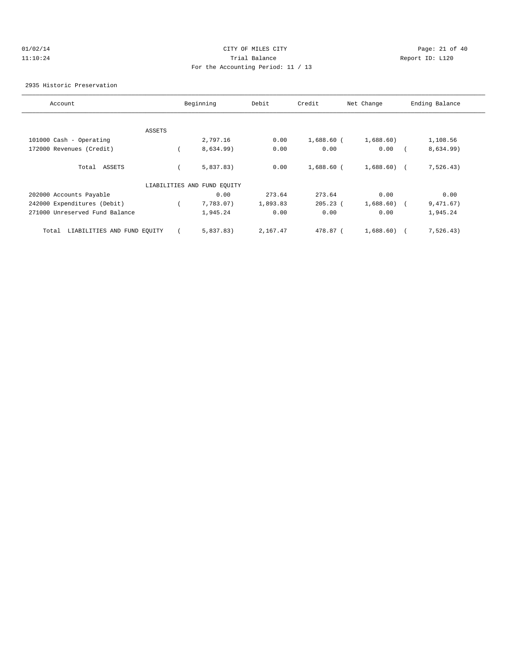# $O1/02/14$  Page: 21 of 40 11:10:24 Trial Balance Report ID: L120 For the Accounting Period: 11 / 13

2935 Historic Preservation

| Account                              |        | Beginning                   | Debit    | Credit       | Net Change   | Ending Balance |
|--------------------------------------|--------|-----------------------------|----------|--------------|--------------|----------------|
|                                      |        |                             |          |              |              |                |
|                                      | ASSETS |                             |          |              |              |                |
| 101000 Cash - Operating              |        | 2,797.16                    | 0.00     | $1,688.60$ ( | 1,688.60)    | 1,108.56       |
| 172000 Revenues (Credit)             |        | 8,634.99)                   | 0.00     | 0.00         | 0.00         | 8,634.99)      |
| Total ASSETS                         |        | 5,837.83)                   | 0.00     | $1,688.60$ ( | $1,688.60$ ( | 7, 526.43)     |
|                                      |        | LIABILITIES AND FUND EQUITY |          |              |              |                |
| 202000 Accounts Payable              |        | 0.00                        | 273.64   | 273.64       | 0.00         | 0.00           |
| 242000 Expenditures (Debit)          |        | 7,783.07)                   | 1,893.83 | $205.23$ (   | 1,688.60)    | 9,471.67)      |
| 271000 Unreserved Fund Balance       |        | 1,945.24                    | 0.00     | 0.00         | 0.00         | 1,945.24       |
| LIABILITIES AND FUND EQUITY<br>Total |        | 5,837.83)                   | 2,167.47 | 478.87 (     | 1,688.60)    | 7, 526.43)     |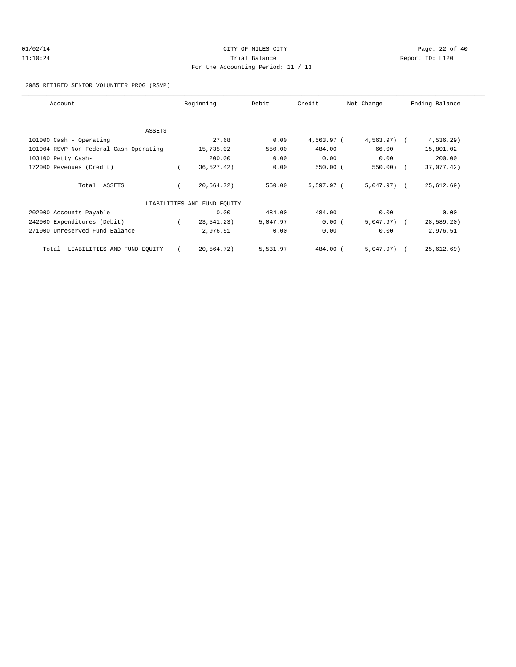# $O1/02/14$  Page: 22 of 40 11:10:24 Trial Balance Report ID: L120 For the Accounting Period: 11 / 13

#### 2985 RETIRED SENIOR VOLUNTEER PROG (RSVP)

| Account                                | Beginning |                             | Debit    | Credit     | Net Change    | Ending Balance |              |  |
|----------------------------------------|-----------|-----------------------------|----------|------------|---------------|----------------|--------------|--|
|                                        |           |                             |          |            |               |                |              |  |
| <b>ASSETS</b>                          |           |                             |          |            |               |                |              |  |
| 101000 Cash - Operating                |           | 27.68                       | 0.00     | 4,563.97 ( | $4,563.97$ (  |                | $4,536.29$ ) |  |
| 101004 RSVP Non-Federal Cash Operating |           | 15,735.02                   | 550.00   | 484.00     | 66.00         |                | 15,801.02    |  |
| 103100 Petty Cash-                     |           | 200.00                      | 0.00     | 0.00       | 0.00          |                | 200.00       |  |
| 172000 Revenues (Credit)               |           | 36,527.42)                  | 0.00     | 550.00(    | $550.00$ ) (  |                | 37,077.42)   |  |
| Total ASSETS                           |           | 20,564.72)                  | 550.00   | 5,597.97 ( | $5,047.97)$ ( |                | 25,612.69)   |  |
|                                        |           | LIABILITIES AND FUND EQUITY |          |            |               |                |              |  |
| 202000 Accounts Payable                |           | 0.00                        | 484.00   | 484.00     | 0.00          |                | 0.00         |  |
| 242000 Expenditures (Debit)            |           | 23,541.23)                  | 5,047.97 | 0.00(      | $5,047.97)$ ( |                | 28,589.20)   |  |
| 271000 Unreserved Fund Balance         |           | 2,976.51                    | 0.00     | 0.00       | 0.00          |                | 2,976.51     |  |
| LIABILITIES AND FUND EQUITY<br>Total   |           | 20,564.72)                  | 5,531.97 | 484.00 (   | $5,047.97)$ ( |                | 25,612.69)   |  |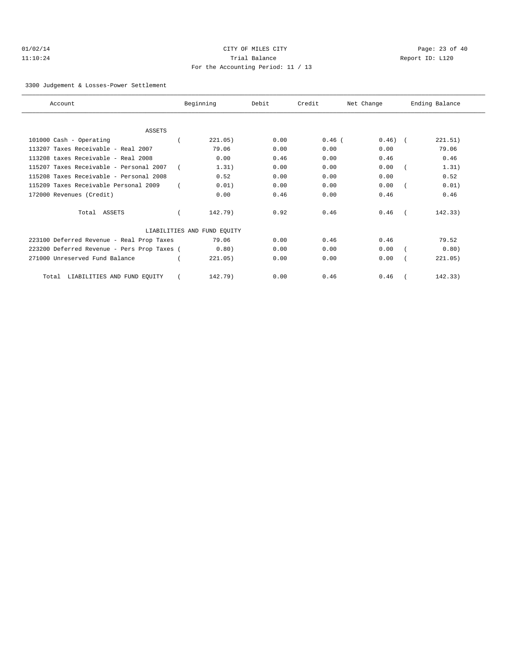# $O1/02/14$  Page: 23 of 40 11:10:24 Trial Balance Report ID: L120 For the Accounting Period: 11 / 13

3300 Judgement & Losses-Power Settlement

| Account                                     | Beginning                   | Debit | Credit   | Net Change | Ending Balance |
|---------------------------------------------|-----------------------------|-------|----------|------------|----------------|
|                                             |                             |       |          |            |                |
| <b>ASSETS</b>                               |                             |       |          |            |                |
| 101000 Cash - Operating                     | 221.05)                     | 0.00  | $0.46$ ( | $0.46)$ (  | 221.51)        |
| 113207 Taxes Receivable - Real 2007         | 79.06                       | 0.00  | 0.00     | 0.00       | 79.06          |
| 113208 taxes Receivable - Real 2008         | 0.00                        | 0.46  | 0.00     | 0.46       | 0.46           |
| 115207 Taxes Receivable - Personal 2007     | 1.31)                       | 0.00  | 0.00     | 0.00       | 1.31)          |
| 115208 Taxes Receivable - Personal 2008     | 0.52                        | 0.00  | 0.00     | 0.00       | 0.52           |
| 115209 Taxes Receivable Personal 2009       | 0.01)                       | 0.00  | 0.00     | 0.00       | 0.01)          |
| 172000 Revenues (Credit)                    | 0.00                        | 0.46  | 0.00     | 0.46       | 0.46           |
| Total ASSETS                                | 142.79)                     | 0.92  | 0.46     | 0.46       | 142.33)        |
|                                             | LIABILITIES AND FUND EQUITY |       |          |            |                |
| 223100 Deferred Revenue - Real Prop Taxes   | 79.06                       | 0.00  | 0.46     | 0.46       | 79.52          |
| 223200 Deferred Revenue - Pers Prop Taxes ( | 0.80)                       | 0.00  | 0.00     | 0.00       | 0.80)          |
| 271000 Unreserved Fund Balance              | 221.05)                     | 0.00  | 0.00     | 0.00       | 221.05)        |
| LIABILITIES AND FUND EQUITY<br>Total        | 142.79)                     | 0.00  | 0.46     | 0.46       | 142.33)        |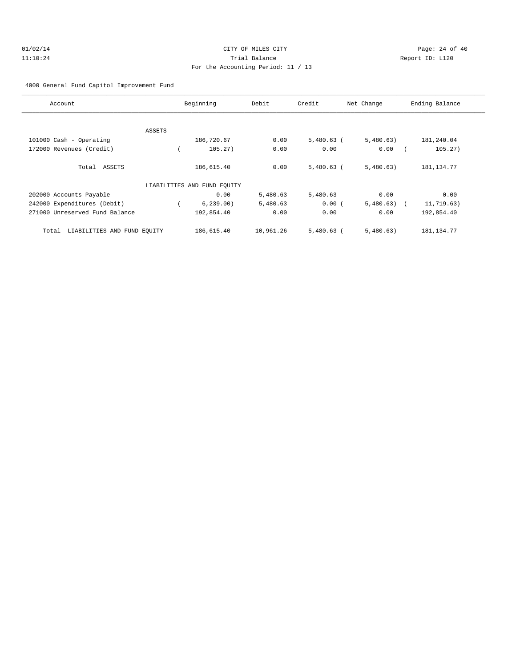# $O1/02/14$  Page: 24 of 40 11:10:24 Trial Balance Report ID: L120 For the Accounting Period: 11 / 13

4000 General Fund Capitol Improvement Fund

| Account                              |        | Beginning                   | Debit     | Credit       | Net Change | Ending Balance |
|--------------------------------------|--------|-----------------------------|-----------|--------------|------------|----------------|
|                                      |        |                             |           |              |            |                |
|                                      | ASSETS |                             |           |              |            |                |
| 101000 Cash - Operating              |        | 186,720.67                  | 0.00      | $5,480.63$ ( | 5,480.63)  | 181,240.04     |
| 172000 Revenues (Credit)             |        | 105.27)                     | 0.00      | 0.00         | 0.00       | 105.27)        |
| Total ASSETS                         |        | 186,615.40                  | 0.00      | $5,480.63$ ( | 5,480.63)  | 181, 134. 77   |
|                                      |        | LIABILITIES AND FUND EQUITY |           |              |            |                |
| 202000 Accounts Payable              |        | 0.00                        | 5,480.63  | 5,480.63     | 0.00       | 0.00           |
| 242000 Expenditures (Debit)          |        | 6, 239.00                   | 5,480.63  | 0.00(        | 5,480.63)  | 11,719.63)     |
| 271000 Unreserved Fund Balance       |        | 192,854.40                  | 0.00      | 0.00         | 0.00       | 192,854.40     |
| LIABILITIES AND FUND EQUITY<br>Total |        | 186,615.40                  | 10,961.26 | $5,480.63$ ( | 5,480.63)  | 181, 134. 77   |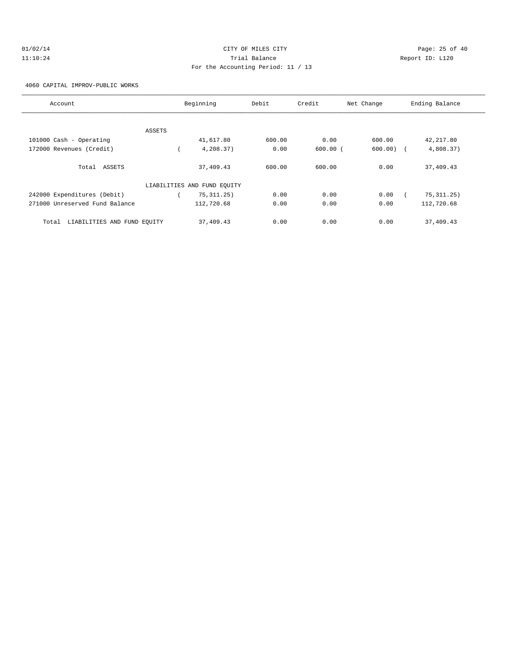# $O1/02/14$  Page: 25 of 40 11:10:24 Trial Balance Report ID: L120 For the Accounting Period: 11 / 13

4060 CAPITAL IMPROV-PUBLIC WORKS

| Account                              | Beginning                   | Debit  | Credit       | Net Change  | Ending Balance |
|--------------------------------------|-----------------------------|--------|--------------|-------------|----------------|
|                                      |                             |        |              |             |                |
| ASSETS                               |                             |        |              |             |                |
| 101000 Cash - Operating              | 41,617.80                   | 600.00 | 0.00         | 600.00      | 42,217.80      |
| 172000 Revenues (Credit)             | 4,208.37)                   | 0.00   | $600.00$ $($ | $600.00)$ ( | 4,808.37)      |
| Total ASSETS                         | 37,409.43                   | 600.00 | 600.00       | 0.00        | 37,409.43      |
|                                      | LIABILITIES AND FUND EQUITY |        |              |             |                |
| 242000 Expenditures (Debit)          | 75, 311, 25)                | 0.00   | 0.00         | 0.00        | 75, 311.25)    |
| 271000 Unreserved Fund Balance       | 112,720.68                  | 0.00   | 0.00         | 0.00        | 112,720.68     |
| LIABILITIES AND FUND EQUITY<br>Total | 37,409.43                   | 0.00   | 0.00         | 0.00        | 37,409.43      |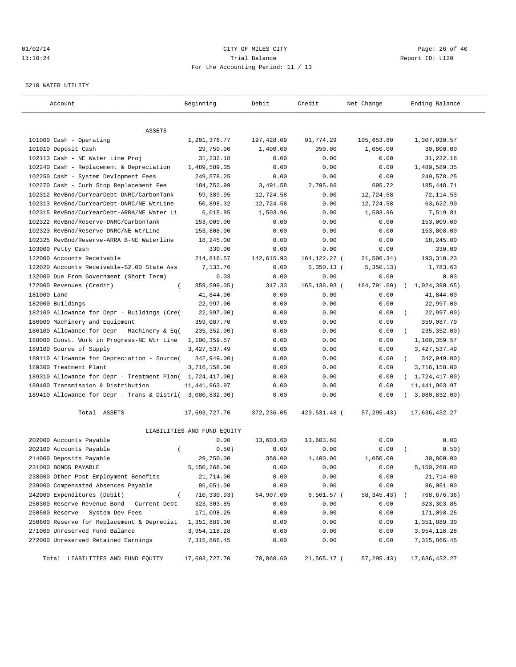#### $O1/02/14$  Page: 26 of 40 11:10:24 Trial Balance Report ID: L120 For the Accounting Period: 11 / 13

#### 5210 WATER UTILITY

| Account                                                   | Beginning                   | Debit      | Credit         | Net Change  | Ending Balance            |
|-----------------------------------------------------------|-----------------------------|------------|----------------|-------------|---------------------------|
| ASSETS                                                    |                             |            |                |             |                           |
| 101000 Cash - Operating                                   | 1,201,376.77                | 197,428.09 | 91,774.29      | 105,653.80  | 1,307,030.57              |
| 101010 Deposit Cash                                       | 29,750.00                   | 1,400.00   | 350.00         | 1,050.00    | 30,800.00                 |
| 102113 Cash - NE Water Line Proj                          | 31,232.18                   | 0.00       | 0.00           | 0.00        | 31,232.18                 |
| 102240 Cash - Replacement & Depreciation                  | 1,489,589.35                | 0.00       | 0.00           | 0.00        | 1,489,589.35              |
| 102250 Cash - System Devlopment Fees                      | 249,578.25                  | 0.00       | 0.00           | 0.00        | 249,578.25                |
| 102270 Cash - Curb Stop Replacement Fee                   | 184,752.99                  | 3,491.58   | 2,795.86       | 695.72      | 185, 448.71               |
| 102312 RevBnd/CurYearDebt-DNRC/CarbonTank                 | 59,389.95                   | 12,724.58  | 0.00           | 12,724.58   | 72, 114.53                |
| 102313 RevBnd/CurYearDebt-DNRC/NE WtrLine                 | 50,898.32                   | 12,724.58  | 0.00           | 12,724.58   | 63,622.90                 |
| 102315 RevBnd/CurYearDebt-ARRA/NE Water Li                | 6,015.85                    | 1,503.96   | 0.00           | 1,503.96    | 7,519.81                  |
| 102322 RevBnd/Reserve-DNRC/CarbonTank                     | 153,009.00                  | 0.00       | 0.00           | 0.00        | 153,009.00                |
| 102323 RevBnd/Reserve-DNRC/NE WtrLine                     | 153,808.00                  | 0.00       | 0.00           | 0.00        | 153,808.00                |
| 102325 RevBnd/Reserve-ARRA B-NE Waterline                 | 18,245.00                   | 0.00       | 0.00           | 0.00        | 18,245.00                 |
| 103000 Petty Cash                                         | 330.00                      | 0.00       | 0.00           | 0.00        | 330.00                    |
| 122000 Accounts Receivable                                | 214,816.57                  | 142,615.93 | 164, 122. 27 ( | 21,506.34)  | 193, 310.23               |
| 122020 Accounts Receivable-\$2.00 State Ass               | 7,133.76                    | 0.00       | $5,350.13$ (   | 5,350.13)   | 1,783.63                  |
| 132000 Due From Government (Short Term)                   | 0.03                        | 0.00       | 0.00           | 0.00        | 0.03                      |
| 172000 Revenues (Credit)<br>$\overline{ }$                | 859,599.05)                 | 347.33     | 165, 138.93 (  | 164,791.60) | 1,024,390.65)<br>$\left($ |
| 181000 Land                                               | 41,844.00                   | 0.00       | 0.00           | 0.00        | 41,844.00                 |
| 182000 Buildings                                          | 22,997.00                   | 0.00       | 0.00           | 0.00        | 22,997.00                 |
| 182100 Allowance for Depr - Buildings (Cre(               | 22,997.00)                  | 0.00       | 0.00           | 0.00        | 22,997.00)                |
| 186000 Machinery and Equipment                            | 359,087.70                  | 0.00       | 0.00           | 0.00        | 359,087.70                |
| 186100 Allowance for Depr - Machinery & Eq(               | 235, 352.00)                | 0.00       | 0.00           | 0.00        | 235, 352.00)              |
| 188000 Const. Work in Progress-NE Wtr Line                | 1,100,359.57                | 0.00       | 0.00           | 0.00        | 1,100,359.57              |
| 189100 Source of Supply                                   | 3, 427, 537.49              | 0.00       | 0.00           | 0.00        | 3, 427, 537.49            |
| 189110 Allowance for Depreciation - Source(               | 342,949.00)                 | 0.00       | 0.00           | 0.00        | 342,949.00)<br>$\left($   |
| 189300 Treatment Plant                                    | 3,716,158.00                | 0.00       | 0.00           | 0.00        | 3,716,158.00              |
| 189310 Allowance for Depr - Treatment Plan( 1,724,417.00) |                             | 0.00       | 0.00           | 0.00        | (1, 724, 417.00)          |
| 189400 Transmission & Distribution                        | 11, 441, 963.97             | 0.00       | 0.00           | 0.00        | 11, 441, 963.97           |
| 189410 Allowance for Depr - Trans & Distri( 3,080,832.00) |                             | 0.00       | 0.00           | 0.00        | 3,080,832.00)             |
| Total ASSETS                                              | 17,693,727.70               | 372,236.05 | 429,531.48 (   | 57, 295.43) | 17,636,432.27             |
|                                                           | LIABILITIES AND FUND EQUITY |            |                |             |                           |
| 202000 Accounts Payable                                   | 0.00                        | 13,603.60  | 13,603.60      | 0.00        | 0.00                      |
| 202100 Accounts Payable<br>$\left($                       | 0.50)                       | 0.00       | 0.00           | 0.00        | 0.50)                     |
| 214000 Deposits Payable                                   | 29,750.00                   | 350.00     | 1,400.00       | 1,050.00    | 30,800.00                 |
| 231000 BONDS PAYABLE                                      | 5,150,268.00                | 0.00       | 0.00           | 0.00        | 5,150,268.00              |
| 238000 Other Post Employment Benefits                     | 21,714.00                   | 0.00       | 0.00           | 0.00        | 21,714.00                 |
| 239000 Compensated Absences Payable                       | 86,051.00                   | 0.00       | 0.00           | 0.00        | 86,051.00                 |
| 242000 Expenditures (Debit)<br>$\overline{(\ }$           | 710,330.93)                 | 64,907.00  | 6,561.57 (     | 58,345.43)  | 768,676.36)               |
| 250300 Reserve Revenue Bond - Current Debt                | 323, 303.85                 | 0.00       | 0.00           | 0.00        | 323, 303.85               |
| 250500 Reserve - System Dev Fees                          | 171,098.25                  | 0.00       | 0.00           | 0.00        | 171,098.25                |
| 250600 Reserve for Replacement & Depreciat                | 1,351,889.30                | 0.00       | 0.00           | 0.00        | 1,351,889.30              |
| 271000 Unreserved Fund Balance                            | 3,954,118.28                | 0.00       | 0.00           | 0.00        | 3,954,118.28              |
| 272000 Unreserved Retained Earnings                       | 7,315,866.45                | 0.00       | 0.00           | 0.00        | 7, 315, 866.45            |
| Total LIABILITIES AND FUND EQUITY                         | 17,693,727.70               | 78,860.60  | 21,565.17 (    | 57, 295.43) | 17,636,432.27             |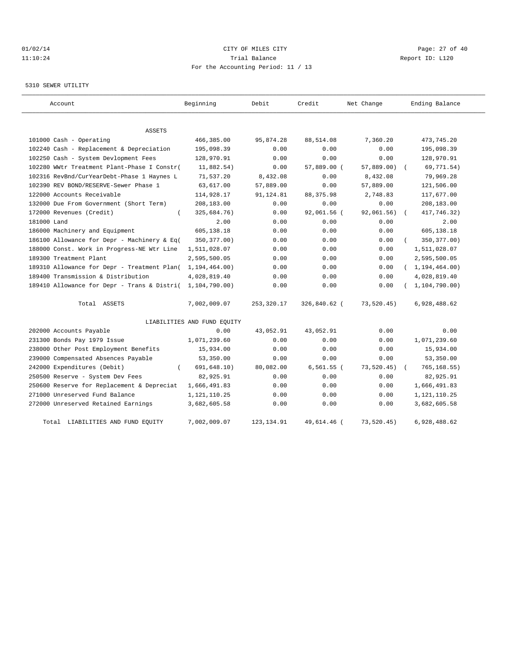# $O1/02/14$  Page: 27 of 40 11:10:24 Trial Balance Report ID: L120 For the Accounting Period: 11 / 13

#### 5310 SEWER UTILITY

| Account                                     | Beginning                   | Debit       | Credit       | Net Change    | Ending Balance   |
|---------------------------------------------|-----------------------------|-------------|--------------|---------------|------------------|
| <b>ASSETS</b>                               |                             |             |              |               |                  |
| 101000 Cash - Operating                     | 466,385.00                  | 95,874.28   | 88,514.08    | 7,360.20      | 473,745.20       |
| 102240 Cash - Replacement & Depreciation    | 195,098.39                  | 0.00        | 0.00         | 0.00          | 195,098.39       |
| 102250 Cash - System Devlopment Fees        | 128,970.91                  | 0.00        | 0.00         | 0.00          | 128,970.91       |
| 102280 WWtr Treatment Plant-Phase I Constr( | 11,882.54)                  | 0.00        | 57,889.00 (  | $57,889.00$ ) | 69,771.54)       |
| 102316 RevBnd/CurYearDebt-Phase 1 Haynes L  | 71,537.20                   | 8,432.08    | 0.00         | 8,432.08      | 79,969.28        |
| 102390 REV BOND/RESERVE-Sewer Phase 1       | 63,617.00                   | 57,889.00   | 0.00         | 57,889.00     | 121,506.00       |
| 122000 Accounts Receivable                  | 114,928.17                  | 91,124.81   | 88, 375.98   | 2,748.83      | 117,677.00       |
| 132000 Due From Government (Short Term)     | 208,183.00                  | 0.00        | 0.00         | 0.00          | 208,183.00       |
| 172000 Revenues (Credit)<br>$\left($        | 325,684.76)                 | 0.00        | 92,061.56 (  | 92,061.56)    | 417,746.32)      |
| 181000 Land                                 | 2.00                        | 0.00        | 0.00         | 0.00          | 2.00             |
| 186000 Machinery and Equipment              | 605,138.18                  | 0.00        | 0.00         | 0.00          | 605,138.18       |
| 186100 Allowance for Depr - Machinery & Eq( | 350, 377.00)                | 0.00        | 0.00         | 0.00          | 350, 377.00)     |
| 188000 Const. Work in Progress-NE Wtr Line  | 1,511,028.07                | 0.00        | 0.00         | 0.00          | 1,511,028.07     |
| 189300 Treatment Plant                      | 2,595,500.05                | 0.00        | 0.00         | 0.00          | 2,595,500.05     |
| 189310 Allowance for Depr - Treatment Plan( | 1, 194, 464.00)             | 0.00        | 0.00         | 0.00          | (1, 194, 464.00) |
| 189400 Transmission & Distribution          | 4,028,819.40                | 0.00        | 0.00         | 0.00          | 4,028,819.40     |
| 189410 Allowance for Depr - Trans & Distri( | 1,104,790.00)               | 0.00        | 0.00         | 0.00          | 1, 104, 790.00   |
| Total ASSETS                                | 7,002,009.07                | 253,320.17  | 326,840.62 ( | 73,520.45)    | 6,928,488.62     |
|                                             | LIABILITIES AND FUND EQUITY |             |              |               |                  |
| 202000 Accounts Payable                     | 0.00                        | 43,052.91   | 43,052.91    | 0.00          | 0.00             |
| 231300 Bonds Pay 1979 Issue                 | 1,071,239.60                | 0.00        | 0.00         | 0.00          | 1,071,239.60     |
| 238000 Other Post Employment Benefits       | 15,934.00                   | 0.00        | 0.00         | 0.00          | 15,934.00        |
| 239000 Compensated Absences Payable         | 53,350.00                   | 0.00        | 0.00         | 0.00          | 53,350.00        |
| 242000 Expenditures (Debit)                 | 691, 648.10)                | 80,082.00   | $6,561.55$ ( | 73, 520.45)   | 765, 168.55)     |
| 250500 Reserve - System Dev Fees            | 82,925.91                   | 0.00        | 0.00         | 0.00          | 82,925.91        |
| 250600 Reserve for Replacement & Depreciat  | 1,666,491.83                | 0.00        | 0.00         | 0.00          | 1,666,491.83     |
| 271000 Unreserved Fund Balance              | 1,121,110.25                | 0.00        | 0.00         | 0.00          | 1, 121, 110. 25  |
| 272000 Unreserved Retained Earnings         | 3,682,605.58                | 0.00        | 0.00         | 0.00          | 3,682,605.58     |
| Total LIABILITIES AND FUND EQUITY           | 7,002,009.07                | 123, 134.91 | 49,614.46 (  | 73,520.45)    | 6,928,488.62     |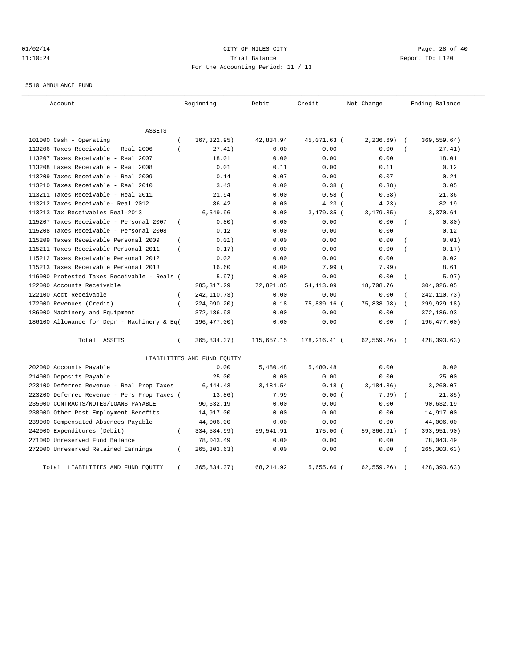# $O1/02/14$  Page: 28 of 40 11:10:24 Trial Balance Report ID: L120 For the Accounting Period: 11 / 13

5510 AMBULANCE FUND

| Account                                     |                | Beginning                   | Debit      | Credit       | Net Change   |                | Ending Balance |
|---------------------------------------------|----------------|-----------------------------|------------|--------------|--------------|----------------|----------------|
| ASSETS                                      |                |                             |            |              |              |                |                |
| 101000 Cash - Operating                     | $\overline{ }$ | 367, 322.95)                | 42,834.94  | 45,071.63 (  | 2, 236.69)   |                | 369,559.64)    |
| 113206 Taxes Receivable - Real 2006         | $\left($       | 27.41)                      | 0.00       | 0.00         | 0.00         |                | 27.41)         |
| 113207 Taxes Receivable - Real 2007         |                | 18.01                       | 0.00       | 0.00         | 0.00         |                | 18.01          |
| 113208 taxes Receivable - Real 2008         |                | 0.01                        | 0.11       | 0.00         | 0.11         |                | 0.12           |
| 113209 Taxes Receivable - Real 2009         |                | 0.14                        | 0.07       | 0.00         | 0.07         |                | 0.21           |
| 113210 Taxes Receivable - Real 2010         |                | 3.43                        | 0.00       | 0.38(        | 0.38)        |                | 3.05           |
| 113211 Taxes Receivable - Real 2011         |                | 21.94                       | 0.00       | $0.58$ (     | 0.58)        |                | 21.36          |
| 113212 Taxes Receivable- Real 2012          |                | 86.42                       | 0.00       | 4.23(        | 4.23)        |                | 82.19          |
| 113213 Tax Receivables Real-2013            |                | 6,549.96                    | 0.00       | $3,179.35$ ( | 3, 179.35)   |                | 3,370.61       |
| 115207 Taxes Receivable - Personal 2007     | $\left($       | 0.80)                       | 0.00       | 0.00         | 0.00         |                | 0.80)          |
| 115208 Taxes Receivable - Personal 2008     |                | 0.12                        | 0.00       | 0.00         | 0.00         |                | 0.12           |
| 115209 Taxes Receivable Personal 2009       | $\left($       | 0.01)                       | 0.00       | 0.00         | 0.00         |                | 0.01)          |
| 115211 Taxes Receivable Personal 2011       | $\left($       | 0.17)                       | 0.00       | 0.00         | 0.00         |                | 0.17)          |
| 115212 Taxes Receivable Personal 2012       |                | 0.02                        | 0.00       | 0.00         | 0.00         |                | 0.02           |
| 115213 Taxes Receivable Personal 2013       |                | 16.60                       | 0.00       | 7.99(        | 7.99         |                | 8.61           |
| 116000 Protested Taxes Receivable - Reals ( |                | 5.97)                       | 0.00       | 0.00         | 0.00         | $\overline{(}$ | 5.97)          |
| 122000 Accounts Receivable                  |                | 285, 317.29                 | 72,821.85  | 54, 113.09   | 18,708.76    |                | 304,026.05     |
| 122100 Acct Receivable                      | $\left($       | 242, 110.73)                | 0.00       | 0.00         | 0.00         |                | 242, 110.73)   |
| 172000 Revenues (Credit)                    | $\left($       | 224,090.20)                 | 0.18       | 75,839.16 (  | 75,838.98)   |                | 299,929.18)    |
| 186000 Machinery and Equipment              |                | 372,186.93                  | 0.00       | 0.00         | 0.00         |                | 372,186.93     |
| 186100 Allowance for Depr - Machinery & Eq( |                | 196,477.00)                 | 0.00       | 0.00         | 0.00         |                | 196,477.00)    |
| Total ASSETS                                | $\left($       | 365,834.37)                 | 115,657.15 | 178,216.41 ( | 62, 559.26)  | $\sqrt{2}$     | 428, 393.63)   |
|                                             |                | LIABILITIES AND FUND EQUITY |            |              |              |                |                |
| 202000 Accounts Payable                     |                | 0.00                        | 5,480.48   | 5,480.48     | 0.00         |                | 0.00           |
| 214000 Deposits Payable                     |                | 25.00                       | 0.00       | 0.00         | 0.00         |                | 25.00          |
| 223100 Deferred Revenue - Real Prop Taxes   |                | 6,444.43                    | 3,184.54   | $0.18$ (     | 3, 184.36)   |                | 3,260.07       |
| 223200 Deferred Revenue - Pers Prop Taxes ( |                | 13.86)                      | 7.99       | 0.00(        | 7.99)        |                | 21.85)         |
| 235000 CONTRACTS/NOTES/LOANS PAYABLE        |                | 90,632.19                   | 0.00       | 0.00         | 0.00         |                | 90,632.19      |
| 238000 Other Post Employment Benefits       |                | 14,917.00                   | 0.00       | 0.00         | 0.00         |                | 14,917.00      |
| 239000 Compensated Absences Payable         |                | 44,006.00                   | 0.00       | 0.00         | 0.00         |                | 44,006.00      |
| 242000 Expenditures (Debit)                 | $\left($       | 334,584.99)                 | 59,541.91  | $175.00$ (   | 59,366.91)   |                | 393,951.90)    |
| 271000 Unreserved Fund Balance              |                | 78,043.49                   | 0.00       | 0.00         | 0.00         |                | 78,043.49      |
| 272000 Unreserved Retained Earnings         | $\left($       | 265, 303.63)                | 0.00       | 0.00         | 0.00         |                | 265, 303.63)   |
| LIABILITIES AND FUND EQUITY<br>Total        | $\left($       | 365,834.37)                 | 68, 214.92 | $5.655.66$ ( | 62, 559, 26) |                | 428, 393, 63)  |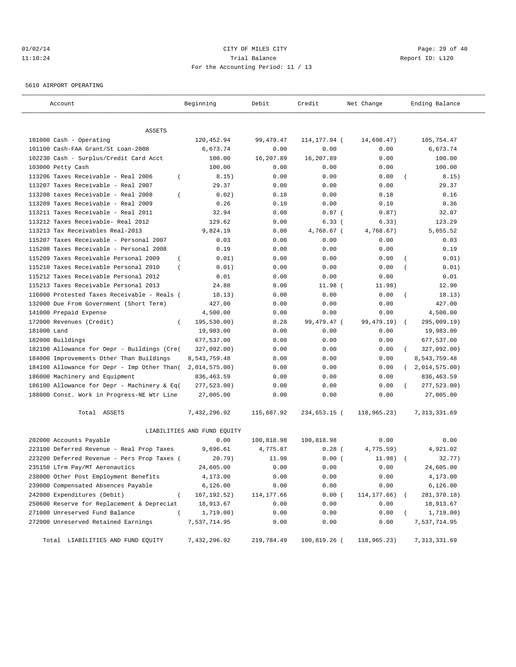# $O1/02/14$  Page: 29 of 40 11:10:24 Trial Balance Report ID: L120 For the Accounting Period: 11 / 13

5610 AIRPORT OPERATING

| Account                                                 | Beginning                   | Debit       | Credit       | Net Change  | Ending Balance              |
|---------------------------------------------------------|-----------------------------|-------------|--------------|-------------|-----------------------------|
|                                                         |                             |             |              |             |                             |
| ASSETS<br>101000 Cash - Operating                       | 120,452.94                  | 99, 479. 47 | 114,177.94 ( | 14,698.47)  | 105,754.47                  |
| 101100 Cash-FAA Grant/St Loan-2008                      | 6,673.74                    | 0.00        | 0.00         | 0.00        | 6,673.74                    |
| 102230 Cash - Surplus/Credit Card Acct                  | 100.00                      | 16,207.89   | 16,207.89    | 0.00        | 100.00                      |
| 103000 Petty Cash                                       | 100.00                      | 0.00        | 0.00         | 0.00        | 100.00                      |
| 113206 Taxes Receivable - Real 2006<br>$\overline{ }$   | 8.15)                       | 0.00        | 0.00         | 0.00        | 8.15)                       |
| 113207 Taxes Receivable - Real 2007                     | 29.37                       | 0.00        | 0.00         | 0.00        | 29.37                       |
| 113208 taxes Receivable - Real 2008<br>$\overline{ }$   | 0.02)                       | 0.18        | 0.00         | 0.18        | 0.16                        |
| 113209 Taxes Receivable - Real 2009                     | 0.26                        | 0.10        | 0.00         | 0.10        | 0.36                        |
| 113211 Taxes Receivable - Real 2011                     | 32.94                       | 0.00        | $0.87$ (     | 0.87)       | 32.07                       |
| 113212 Taxes Receivable- Real 2012                      | 129.62                      | 0.00        | 6.33(        | 6.33)       | 123.29                      |
| 113213 Tax Receivables Real-2013                        | 9,824.19                    | 0.00        | 4,768.67 (   | 4,768.67)   | 5,055.52                    |
| 115207 Taxes Receivable - Personal 2007                 | 0.03                        | 0.00        | 0.00         | 0.00        | 0.03                        |
| 115208 Taxes Receivable - Personal 2008                 | 0.19                        | 0.00        | 0.00         | 0.00        | 0.19                        |
| $\overline{ }$<br>115209 Taxes Receivable Personal 2009 | 0.01)                       | 0.00        | 0.00         | 0.00        | 0.01)                       |
| 115210 Taxes Receivable Personal 2010<br>$\overline{ }$ | 0.01)                       | 0.00        | 0.00         | 0.00        | 0.01)                       |
| 115212 Taxes Receivable Personal 2012                   | 0.01                        | 0.00        | 0.00         | 0.00        | 0.01                        |
| 115213 Taxes Receivable Personal 2013                   | 24.88                       | 0.00        | 11.98(       | 11.98)      | 12.90                       |
| 116000 Protested Taxes Receivable - Reals (             | 18.13)                      | 0.00        | 0.00         | 0.00        | 18.13)<br>$\overline{ }$    |
| 132000 Due From Government (Short Term)                 | 427.00                      | 0.00        | 0.00         | 0.00        | 427.00                      |
| 141000 Prepaid Expense                                  | 4,500.00                    | 0.00        | 0.00         | 0.00        | 4,500.00                    |
| 172000 Revenues (Credit)<br>$\left($                    | 195,530.00)                 | 0.28        | 99,479.47 (  | 99,479.19)  | 295,009.19)                 |
| 181000 Land                                             | 19,983.00                   | 0.00        | 0.00         | 0.00        | 19,983.00                   |
| 182000 Buildings                                        | 677,537.00                  | 0.00        | 0.00         | 0.00        | 677,537.00                  |
| 182100 Allowance for Depr - Buildings (Cre(             | 327,092.00)                 | 0.00        | 0.00         | 0.00        | 327,092.00)                 |
| 184000 Improvements Other Than Buildings                | 8,543,759.48                | 0.00        | 0.00         | 0.00        | 8,543,759.48                |
| 184100 Allowance for Depr - Imp Other Than(             | 2,014,575.00)               | 0.00        | 0.00         | 0.00        | 2,014,575.00)<br>$\sqrt{2}$ |
| 186000 Machinery and Equipment                          | 836,463.59                  | 0.00        | 0.00         | 0.00        | 836,463.59                  |
| 186100 Allowance for Depr - Machinery & Eq(             | 277,523.00)                 | 0.00        | 0.00         | 0.00        | 277,523.00)                 |
| 188000 Const. Work in Progress-NE Wtr Line              | 27,005.00                   | 0.00        | 0.00         | 0.00        | 27,005.00                   |
| Total ASSETS                                            | 7,432,296.92                | 115,687.92  | 234,653.15 ( | 118,965.23) | 7, 313, 331.69              |
|                                                         | LIABILITIES AND FUND EQUITY |             |              |             |                             |
| 202000 Accounts Payable                                 | 0.00                        | 100,818.98  | 100,818.98   | 0.00        | 0.00                        |
| 223100 Deferred Revenue - Real Prop Taxes               | 9,696.61                    | 4,775.87    | $0.28$ (     | 4,775.59)   | 4,921.02                    |
| 223200 Deferred Revenue - Pers Prop Taxes (             | 20.79)                      | 11.98       | 0.00(        | 11.98)      | 32.77)                      |
| 235150 LTrm Pay/MT Aeronautics                          | 24,605.00                   | 0.00        | 0.00         | 0.00        | 24,605.00                   |
| 238000 Other Post Employment Benefits                   | 4,173.00                    | 0.00        | 0.00         | 0.00        | 4,173.00                    |
| 239000 Compensated Absences Payable                     | 6,126.00                    | 0.00        | 0.00         | 0.00        | 6,126.00                    |
| 242000 Expenditures (Debit)<br>$\overline{(\ }$         | 167, 192.52)                | 114,177.66  | 0.00(        | 114,177.66) | 281,370.18)                 |
| 250600 Reserve for Replacement & Depreciat              | 18,913.67                   | 0.00        | 0.00         | 0.00        | 18,913.67                   |
| 271000 Unreserved Fund Balance<br>$\left($              | 1,719.00)                   | 0.00        | 0.00         | 0.00        | 1,719.00)                   |
| 272000 Unreserved Retained Earnings                     | 7,537,714.95                | 0.00        | 0.00         | 0.00        | 7,537,714.95                |
| Total LIABILITIES AND FUND EQUITY                       | 7,432,296.92                | 219,784.49  | 100,819.26 ( | 118,965.23) | 7, 313, 331.69              |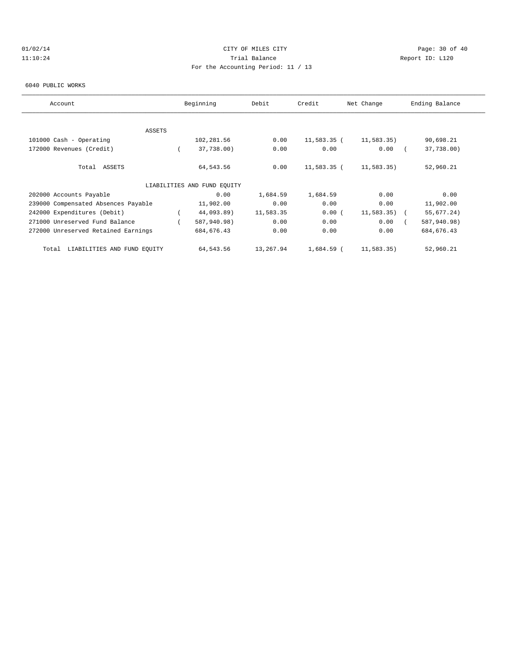# $O1/02/14$  Page: 30 of 40 11:10:24 Trial Balance Report ID: L120 For the Accounting Period: 11 / 13

#### 6040 PUBLIC WORKS

| Account                              | Beginning                   | Debit     | Credit        | Net Change    | Ending Balance |
|--------------------------------------|-----------------------------|-----------|---------------|---------------|----------------|
|                                      |                             |           |               |               |                |
| <b>ASSETS</b>                        |                             |           |               |               |                |
| 101000 Cash - Operating              | 102,281.56                  | 0.00      | $11,583.35$ ( | 11,583.35)    | 90,698.21      |
| 172000 Revenues (Credit)             | 37,738.00)                  | 0.00      | 0.00          | 0.00          | 37,738.00)     |
| Total ASSETS                         | 64,543.56                   | 0.00      | $11,583.35$ ( | 11,583.35)    | 52,960.21      |
|                                      | LIABILITIES AND FUND EOUITY |           |               |               |                |
| 202000 Accounts Payable              | 0.00                        | 1,684.59  | 1,684.59      | 0.00          | 0.00           |
| 239000 Compensated Absences Payable  | 11,902.00                   | 0.00      | 0.00          | 0.00          | 11,902.00      |
| 242000 Expenditures (Debit)          | 44,093.89)                  | 11,583.35 | 0.00(         | $11,583.35$ ( | 55,677.24)     |
| 271000 Unreserved Fund Balance       | 587,940.98)                 | 0.00      | 0.00          | 0.00          | 587,940.98)    |
| 272000 Unreserved Retained Earnings  | 684, 676.43                 | 0.00      | 0.00          | 0.00          | 684, 676.43    |
| LIABILITIES AND FUND EOUITY<br>Total | 64,543.56                   | 13,267.94 | 1,684.59 (    | 11,583.35)    | 52,960.21      |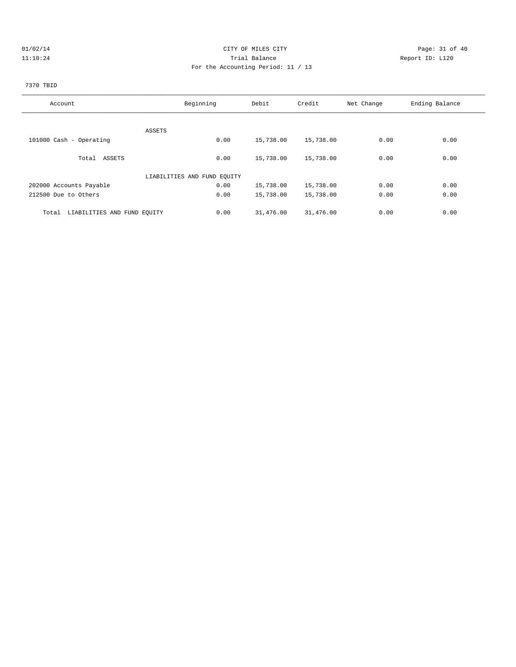# 01/02/14 Page: 31 of 40 11:10:24 Trial Balance Report ID: L120 For the Accounting Period: 11 / 13

# 7370 TBID

| Account                              | Beginning                   | Debit     | Credit    | Net Change | Ending Balance |
|--------------------------------------|-----------------------------|-----------|-----------|------------|----------------|
|                                      |                             |           |           |            |                |
|                                      | ASSETS                      |           |           |            |                |
| 101000 Cash - Operating              | 0.00                        | 15,738.00 | 15,738.00 | 0.00       | 0.00           |
| Total ASSETS                         | 0.00                        | 15,738.00 | 15,738.00 | 0.00       | 0.00           |
|                                      | LIABILITIES AND FUND EQUITY |           |           |            |                |
| 202000 Accounts Payable              | 0.00                        | 15,738.00 | 15,738.00 | 0.00       | 0.00           |
| 212500 Due to Others                 | 0.00                        | 15,738.00 | 15,738.00 | 0.00       | 0.00           |
| Total<br>LIABILITIES AND FUND EQUITY | 0.00                        | 31,476.00 | 31,476.00 | 0.00       | 0.00           |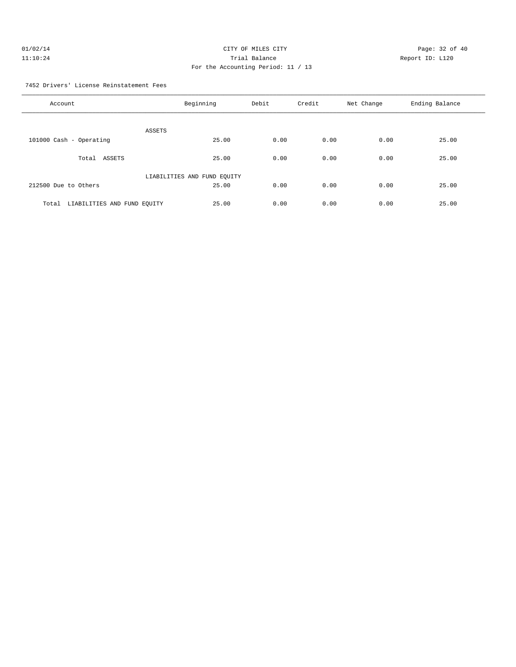| 01/02/14 | CITY OF MILES CITY                 | Page: 32 of 40  |  |
|----------|------------------------------------|-----------------|--|
| 11:10:24 | Trial Balance                      | Report ID: L120 |  |
|          | For the Accounting Period: 11 / 13 |                 |  |

7452 Drivers' License Reinstatement Fees

| Account                              | Beginning                   | Debit | Credit | Net Change | Ending Balance |
|--------------------------------------|-----------------------------|-------|--------|------------|----------------|
| <b>ASSETS</b>                        |                             |       |        |            |                |
| 101000 Cash - Operating              | 25.00                       | 0.00  | 0.00   | 0.00       | 25.00          |
| ASSETS<br>Total                      | 25.00                       | 0.00  | 0.00   | 0.00       | 25.00          |
|                                      | LIABILITIES AND FUND EQUITY |       |        |            |                |
| 212500 Due to Others                 | 25.00                       | 0.00  | 0.00   | 0.00       | 25.00          |
| Total<br>LIABILITIES AND FUND EQUITY | 25.00                       | 0.00  | 0.00   | 0.00       | 25.00          |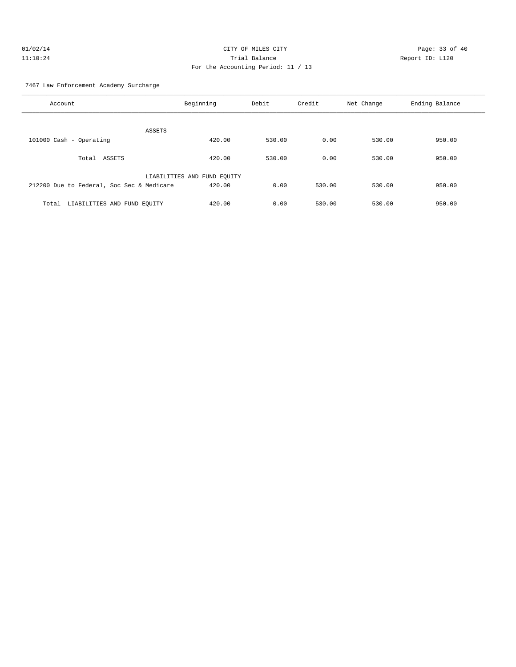#### 7467 Law Enforcement Academy Surcharge

| Account                                   | Beginning                   | Debit  | Credit | Net Change | Ending Balance |
|-------------------------------------------|-----------------------------|--------|--------|------------|----------------|
| ASSETS                                    |                             |        |        |            |                |
| 101000 Cash - Operating                   | 420.00                      | 530.00 | 0.00   | 530.00     | 950.00         |
| Total ASSETS                              | 420.00                      | 530.00 | 0.00   | 530.00     | 950.00         |
|                                           | LIABILITIES AND FUND EQUITY |        |        |            |                |
| 212200 Due to Federal, Soc Sec & Medicare | 420.00                      | 0.00   | 530.00 | 530.00     | 950.00         |
| LIABILITIES AND FUND EQUITY<br>Total      | 420.00                      | 0.00   | 530.00 | 530.00     | 950.00         |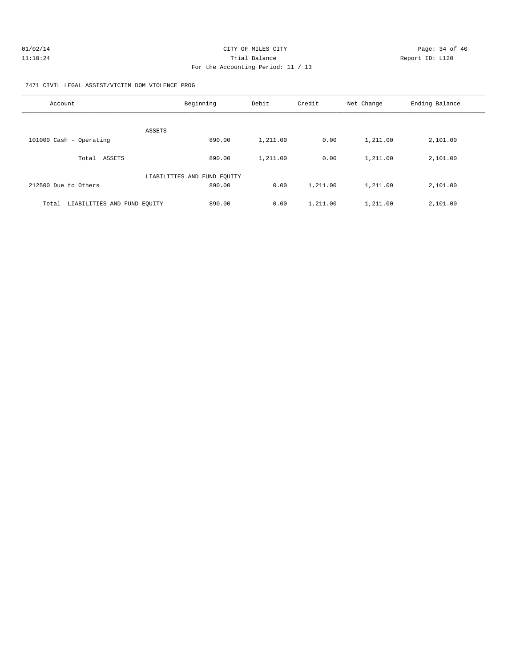| 01/02/14 | CITY OF MILES CITY                 | Page: 34 of 40  |
|----------|------------------------------------|-----------------|
| 11:10:24 | Trial Balance                      | Report ID: L120 |
|          | For the Accounting Period: 11 / 13 |                 |

7471 CIVIL LEGAL ASSIST/VICTIM DOM VIOLENCE PROG

| Account                              | Beginning                   | Debit    | Credit   | Net Change | Ending Balance |
|--------------------------------------|-----------------------------|----------|----------|------------|----------------|
| ASSETS                               |                             |          |          |            |                |
| 101000 Cash - Operating              | 890.00                      | 1,211.00 | 0.00     | 1,211.00   | 2,101.00       |
| ASSETS<br>Total                      | 890.00                      | 1,211.00 | 0.00     | 1,211.00   | 2,101.00       |
|                                      | LIABILITIES AND FUND EQUITY |          |          |            |                |
| 212500 Due to Others                 | 890.00                      | 0.00     | 1,211.00 | 1,211.00   | 2,101.00       |
| LIABILITIES AND FUND EOUITY<br>Total | 890.00                      | 0.00     | 1,211.00 | 1,211.00   | 2,101.00       |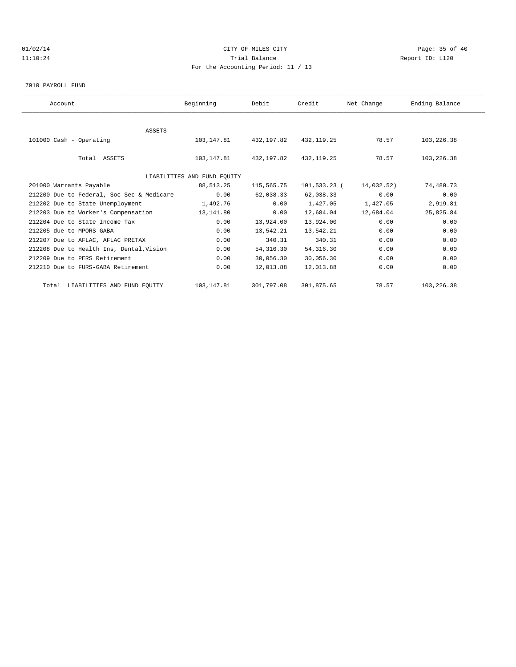# $O1/02/14$  Page: 35 of 40 11:10:24 Trial Balance Report ID: L120 For the Accounting Period: 11 / 13

7910 PAYROLL FUND

| Account                                   | Beginning                   | Debit                   | Credit       | Net Change | Ending Balance |  |
|-------------------------------------------|-----------------------------|-------------------------|--------------|------------|----------------|--|
|                                           |                             |                         |              |            |                |  |
| <b>ASSETS</b>                             |                             |                         |              |            |                |  |
| 101000 Cash - Operating                   |                             | 103, 147.81 432, 197.82 | 432, 119.25  | 78.57      | 103,226.38     |  |
|                                           |                             |                         |              |            |                |  |
| Total ASSETS                              | 103,147.81                  | 432,197.82              | 432, 119.25  | 78.57      | 103,226.38     |  |
|                                           |                             |                         |              |            |                |  |
|                                           | LIABILITIES AND FUND EQUITY |                         |              |            |                |  |
| 201000 Warrants Payable                   | 88,513.25                   | 115,565.75              | 101,533.23 ( | 14,032.52) | 74,480.73      |  |
| 212200 Due to Federal, Soc Sec & Medicare | 0.00                        | 62,038.33               | 62,038.33    | 0.00       | 0.00           |  |
| 212202 Due to State Unemployment          | 1,492.76                    | 0.00                    | 1,427.05     | 1,427.05   | 2,919.81       |  |
| 212203 Due to Worker's Compensation       | 13,141.80                   | 0.00                    | 12,684.04    | 12,684.04  | 25,825.84      |  |
| 212204 Due to State Income Tax            | 0.00                        | 13,924.00               | 13,924.00    | 0.00       | 0.00           |  |
| 212205 due to MPORS-GABA                  | 0.00                        | 13,542.21               | 13,542.21    | 0.00       | 0.00           |  |
| 212207 Due to AFLAC, AFLAC PRETAX         | 0.00                        | 340.31                  | 340.31       | 0.00       | 0.00           |  |
| 212208 Due to Health Ins, Dental, Vision  | 0.00                        | 54, 316.30              | 54, 316.30   | 0.00       | 0.00           |  |
| 212209 Due to PERS Retirement             | 0.00                        | 30,056.30               | 30,056.30    | 0.00       | 0.00           |  |
| 212210 Due to FURS-GABA Retirement        | 0.00                        | 12,013.88               | 12,013.88    | 0.00       | 0.00           |  |
| Total LIABILITIES AND FUND EQUITY         | 103, 147.81                 | 301,797.08              | 301,875.65   | 78.57      | 103,226.38     |  |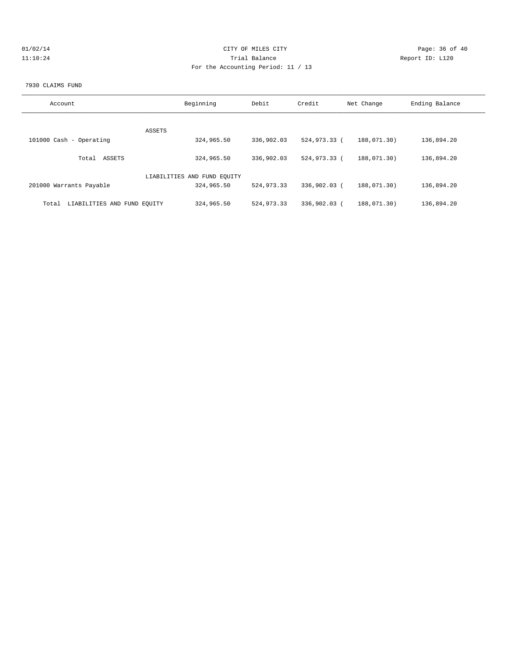| 01/02/14 |  |
|----------|--|
| 11:10:24 |  |

# CITY OF MILES CITY CONTROL CONTROL CONTROL CONTROL CONTROL PAGE: 36 of 40 11:120 Trial Balance and Communications of the Report ID: L120 For the Accounting Period: 11 / 13

#### 7930 CLAIMS FUND

| Account                              | Beginning                   | Debit        | Credit       | Net Change  | Ending Balance |
|--------------------------------------|-----------------------------|--------------|--------------|-------------|----------------|
|                                      | ASSETS                      |              |              |             |                |
| 101000 Cash - Operating              | 324,965.50                  | 336,902.03   | 524,973.33 ( | 188,071.30) | 136,894.20     |
| ASSETS<br>Total                      | 324,965.50                  | 336,902.03   | 524,973.33 ( | 188,071.30) | 136,894.20     |
|                                      | LIABILITIES AND FUND EQUITY |              |              |             |                |
| 201000 Warrants Payable              | 324,965.50                  | 524,973.33   | 336,902.03 ( | 188,071,30) | 136,894.20     |
| LIABILITIES AND FUND EOUITY<br>Total | 324,965.50                  | 524, 973, 33 | 336,902.03 ( | 188,071,30) | 136,894.20     |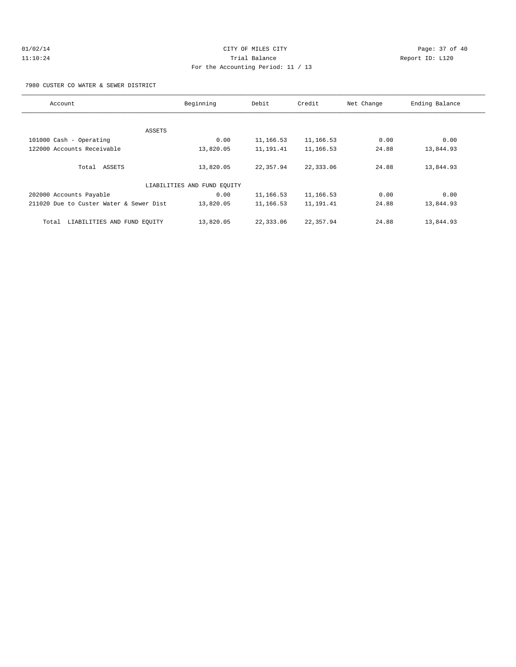# $O1/02/14$  Page: 37 of 40 11:10:24 Trial Balance Report ID: L120 For the Accounting Period: 11 / 13

7980 CUSTER CO WATER & SEWER DISTRICT

| Account                                 | Beginning                   | Debit     | Credit    | Net Change | Ending Balance |
|-----------------------------------------|-----------------------------|-----------|-----------|------------|----------------|
|                                         |                             |           |           |            |                |
|                                         | ASSETS                      |           |           |            |                |
| 101000 Cash - Operating                 | 0.00                        | 11,166.53 | 11,166.53 | 0.00       | 0.00           |
| 122000 Accounts Receivable              | 13,820.05                   | 11,191.41 | 11,166.53 | 24.88      | 13,844.93      |
|                                         |                             |           |           |            |                |
| Total ASSETS                            | 13,820.05                   | 22,357.94 | 22,333.06 | 24.88      | 13,844.93      |
|                                         |                             |           |           |            |                |
|                                         | LIABILITIES AND FUND EOUITY |           |           |            |                |
| 202000 Accounts Payable                 | 0.00                        | 11,166.53 | 11,166.53 | 0.00       | 0.00           |
| 211020 Due to Custer Water & Sewer Dist | 13,820.05                   | 11,166.53 | 11,191.41 | 24.88      | 13,844.93      |
|                                         |                             |           |           |            |                |
| LIABILITIES AND FUND EOUITY<br>Total    | 13,820.05                   | 22,333.06 | 22,357.94 | 24.88      | 13,844.93      |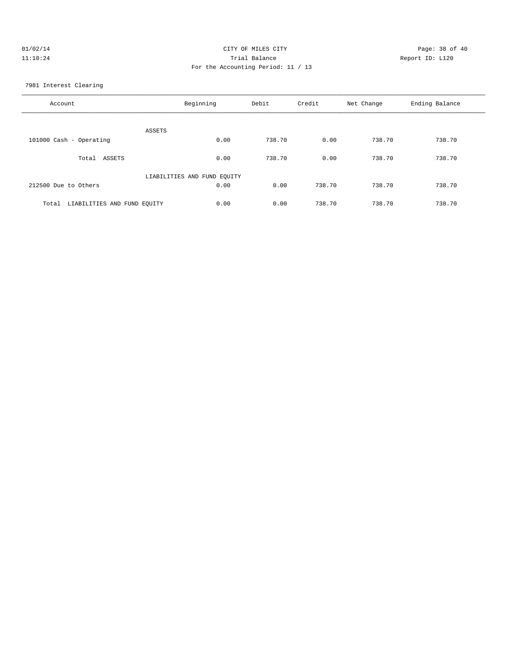| 01/02/14 | CITY OF MILES CITY                 | Page: 38 of 40  |
|----------|------------------------------------|-----------------|
| 11:10:24 | Trial Balance                      | Report ID: L120 |
|          | For the Accounting Period: 11 / 13 |                 |

7981 Interest Clearing

| Account                              | Beginning                   | Debit  | Credit | Net Change | Ending Balance |
|--------------------------------------|-----------------------------|--------|--------|------------|----------------|
| <b>ASSETS</b>                        |                             |        |        |            |                |
| 101000 Cash - Operating              | 0.00                        | 738.70 | 0.00   | 738.70     | 738.70         |
| ASSETS<br>Total                      | 0.00                        | 738.70 | 0.00   | 738.70     | 738.70         |
|                                      | LIABILITIES AND FUND EQUITY |        |        |            |                |
| 212500 Due to Others                 | 0.00                        | 0.00   | 738.70 | 738.70     | 738.70         |
| LIABILITIES AND FUND EQUITY<br>Total | 0.00                        | 0.00   | 738.70 | 738.70     | 738.70         |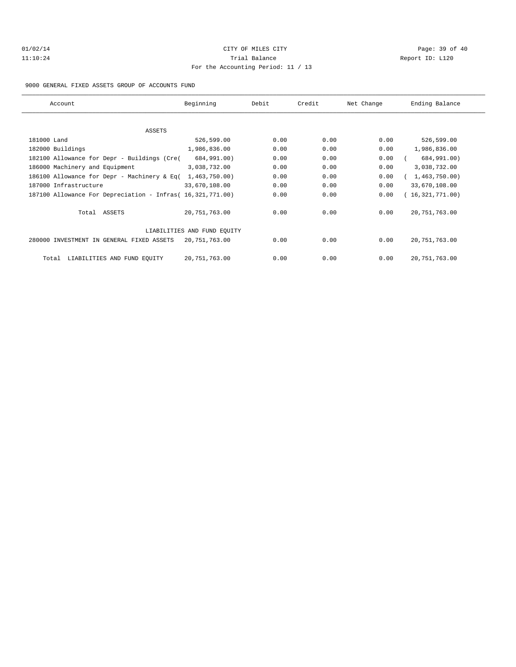# $O1/02/14$  Page: 39 of 40 11:10:24 Trial Balance Report ID: L120 For the Accounting Period: 11 / 13

#### 9000 GENERAL FIXED ASSETS GROUP OF ACCOUNTS FUND

| Account                                                    | Beginning                   | Debit | Credit | Net Change | Ending Balance  |
|------------------------------------------------------------|-----------------------------|-------|--------|------------|-----------------|
|                                                            |                             |       |        |            |                 |
| ASSETS                                                     |                             |       |        |            |                 |
| 181000 Land                                                | 526,599.00                  | 0.00  | 0.00   | 0.00       | 526,599.00      |
| 182000 Buildings                                           | 1,986,836.00                | 0.00  | 0.00   | 0.00       | 1,986,836.00    |
| 182100 Allowance for Depr - Buildings (Cre(                | 684,991.00)                 | 0.00  | 0.00   | 0.00       | 684,991.00)     |
| 186000 Machinery and Equipment                             | 3,038,732.00                | 0.00  | 0.00   | 0.00       | 3,038,732.00    |
| 186100 Allowance for Depr - Machinery & Eq(                | 1,463,750.00)               | 0.00  | 0.00   | 0.00       | 1,463,750.00)   |
| 187000 Infrastructure                                      | 33,670,108.00               | 0.00  | 0.00   | 0.00       | 33,670,108.00   |
| 187100 Allowance For Depreciation - Infras( 16,321,771.00) |                             | 0.00  | 0.00   | 0.00       | (16,321,771.00) |
| Total ASSETS                                               | 20, 751, 763.00             | 0.00  | 0.00   | 0.00       | 20, 751, 763.00 |
|                                                            | LIABILITIES AND FUND EQUITY |       |        |            |                 |
| 280000 INVESTMENT IN GENERAL FIXED ASSETS                  | 20,751,763.00               | 0.00  | 0.00   | 0.00       | 20, 751, 763.00 |
| LIABILITIES AND FUND EQUITY<br>Total                       | 20,751,763.00               | 0.00  | 0.00   | 0.00       | 20, 751, 763.00 |